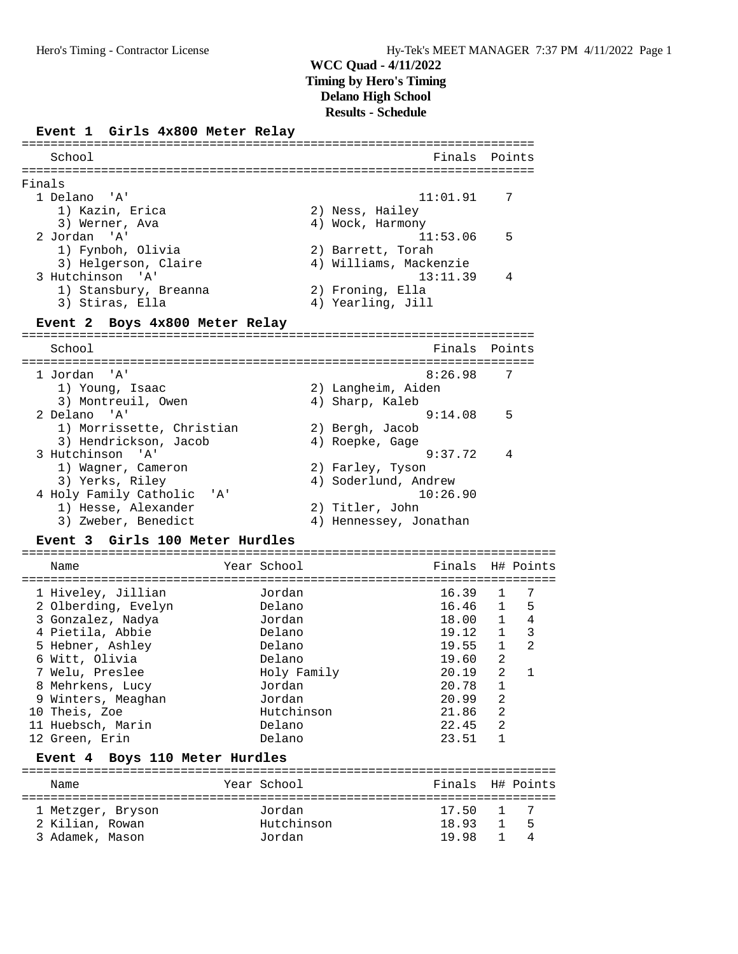### **Event 1 Girls 4x800 Meter Relay**

|                                           | -------------------                   |           |
|-------------------------------------------|---------------------------------------|-----------|
| School                                    | Finals                                | Points    |
|                                           |                                       |           |
| Finals                                    |                                       |           |
| 1 Delano<br>'A'                           | 11:01.91                              | 7         |
| 1) Kazin, Erica                           | 2) Ness, Hailey                       |           |
| 3) Werner, Ava                            | 4) Wock, Harmony                      |           |
| 2 Jordan<br>י ב <i>ו</i> י                | 11:53.06                              | 5         |
| 1) Fynboh, Olivia                         | 2) Barrett, Torah                     |           |
| 3) Helgerson, Claire                      | 4) Williams, Mackenzie                |           |
| 3 Hutchinson<br>$^{\prime}$ A $^{\prime}$ | 13:11.39                              | 4         |
| 1) Stansbury, Breanna                     | 2) Froning, Ella                      |           |
| 3) Stiras, Ella                           | 4) Yearling, Jill                     |           |
| Event 2 Boys 4x800 Meter Relay            |                                       |           |
|                                           |                                       |           |
| School                                    | Finals                                | Points    |
|                                           | _____________________________________ |           |
| 1 Jordan 'A'                              | 8:26.98                               | 7         |
| 1) Young, Isaac                           | 2) Langheim, Aiden                    |           |
| 3) Montreuil, Owen                        | 4) Sharp, Kaleb                       |           |
| 2 Delano 'A'                              | 9:14.08                               | 5         |
| 1) Morrissette, Christian                 | 2) Bergh, Jacob                       |           |
| 3) Hendrickson, Jacob                     | 4) Roepke, Gage                       |           |
| 3 Hutchinson<br>י ב <i>ו</i> י            | 9:37.72                               | 4         |
| 1) Wagner, Cameron                        | 2) Farley, Tyson                      |           |
| 3) Yerks, Riley                           | 4) Soderlund, Andrew                  |           |
| 4 Holy Family Catholic<br>' A '           | 10:26.90                              |           |
| 1) Hesse, Alexander                       | 2) Titler, John                       |           |
| 3) Zweber, Benedict                       | 4) Hennessey, Jonathan                |           |
| Event 3 Girls 100 Meter Hurdles           |                                       |           |
|                                           | =========================             |           |
| Year School<br>Name                       | Finals                                | H# Points |
| 1 Hiveley, Jillian<br>Jordan              | 16.39                                 | 7<br>1    |
| 2 Olberding, Evelyn<br>Delano             | 16.46                                 | 5<br>1    |
|                                           |                                       |           |

| 2 Olberding, Evelyn | Delano      | 16.46 | $\overline{1}$ | 5 <sup>5</sup> |
|---------------------|-------------|-------|----------------|----------------|
| 3 Gonzalez, Nadya   | Jordan      | 18.00 | 1              | 4              |
| 4 Pietila, Abbie    | Delano      | 19.12 | 1              | 3              |
| 5 Hebner, Ashley    | Delano      | 19.55 |                | 2              |
| 6 Witt, Olivia      | Delano      | 19.60 | 2              |                |
| 7 Welu, Preslee     | Holy Family | 20.19 | 2              |                |
| 8 Mehrkens, Lucy    | Jordan      | 20.78 |                |                |
| 9 Winters, Meaghan  | Jordan      | 20.99 | 2              |                |
| 10 Theis, Zoe       | Hutchinson  | 21.86 | -2             |                |
| 11 Huebsch, Marin   | Delano      | 22.45 | 2              |                |
| 12 Green, Erin      | Delano      | 23.51 |                |                |

### **Event 4 Boys 110 Meter Hurdles**

| Name                                                    | Year School                    | Finals H# Points           |              |                   |
|---------------------------------------------------------|--------------------------------|----------------------------|--------------|-------------------|
| 1 Metzger, Bryson<br>2 Kilian, Rowan<br>3 Adamek, Mason | Jordan<br>Hutchinson<br>Jordan | 17.50 1 7<br>18.93<br>1998 | $\mathbf{1}$ | $\sqrt{5}$<br>- 4 |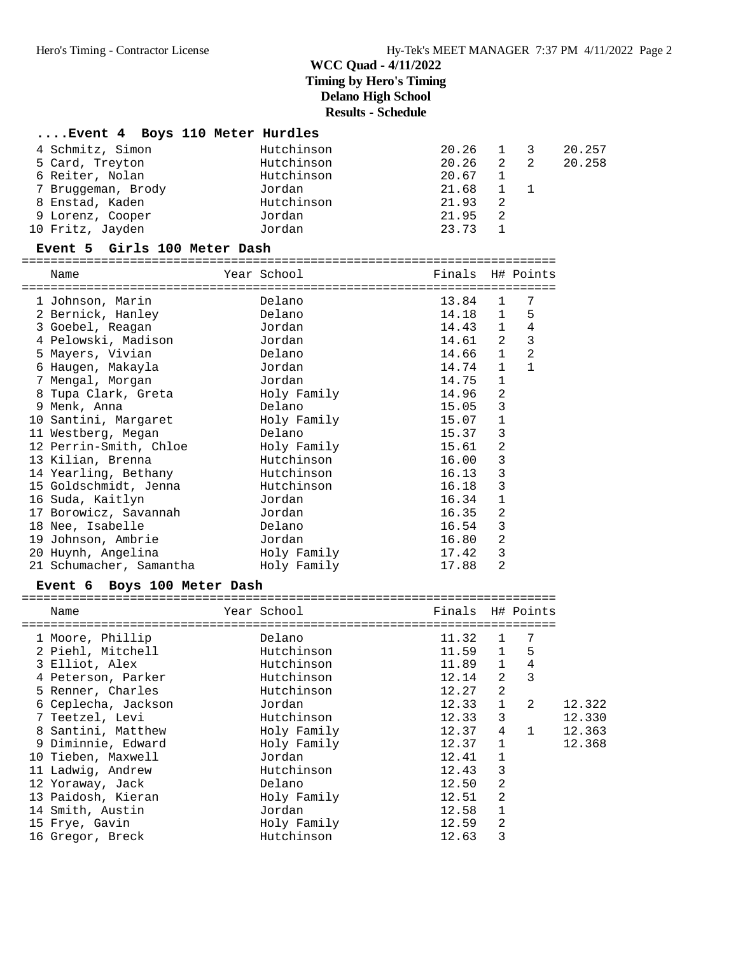|                    | Event 4 Boys 110 Meter Hurdles |             |     |        |
|--------------------|--------------------------------|-------------|-----|--------|
| 4 Schmitz, Simon   | Hutchinson                     | 20.26       | 1 3 | 20.257 |
| 5 Card, Treyton    | Hutchinson                     | $20.26$ 2 2 |     | 20.258 |
| 6 Reiter, Nolan    | Hutchinson                     | $20.67$ 1   |     |        |
| 7 Bruggeman, Brody | Jordan                         | 21.68       |     |        |
| 8 Enstad, Kaden    | Hutchinson                     | 21.93       |     |        |
| 9 Lorenz, Cooper   | Jordan                         | 21.95       | 2   |        |
| 10 Fritz, Jayden   | Jordan                         | 23.73       |     |        |

#### **Event 5 Girls 100 Meter Dash**

==========================================================================

| Name                    | Year School | Finals H# Points |                |                |
|-------------------------|-------------|------------------|----------------|----------------|
| 1 Johnson, Marin        | Delano      | 13.84            | $\mathbf{1}$   | 7              |
| 2 Bernick, Hanley       | Delano      | 14.18            | 1              | 5              |
| 3 Goebel, Reagan        | Jordan      | 14.43            | $\mathbf{1}$   | $\bf 4$        |
| 4 Pelowski, Madison     | Jordan      | 14.61            | 2              | $\mathbf{3}$   |
| 5 Mayers, Vivian        | Delano      | 14.66            | $\mathbf{1}$   | $\overline{2}$ |
| 6 Haugen, Makayla       | Jordan      | 14.74            | $\mathbf{1}$   | $\mathbf{1}$   |
| 7 Mengal, Morgan        | Jordan      | 14.75            | $\mathbf 1$    |                |
| 8 Tupa Clark, Greta     | Holy Family | 14.96            | $\overline{a}$ |                |
| 9 Menk, Anna            | Delano      | 15.05            | 3              |                |
| 10 Santini, Margaret    | Holy Family | 15.07            | $\mathbf 1$    |                |
| 11 Westberg, Megan      | Delano      | 15.37            | 3              |                |
| 12 Perrin-Smith, Chloe  | Holy Family | 15.61            | $\overline{2}$ |                |
| 13 Kilian, Brenna       | Hutchinson  | 16.00            | 3              |                |
| 14 Yearling, Bethany    | Hutchinson  | 16.13            | 3              |                |
| 15 Goldschmidt, Jenna   | Hutchinson  | 16.18            | $\mathsf 3$    |                |
| 16 Suda, Kaitlyn        | Jordan      | 16.34            | 1              |                |
| 17 Borowicz, Savannah   | Jordan      | 16.35            | 2              |                |
| 18 Nee, Isabelle        | Delano      | 16.54            | 3              |                |
| 19 Johnson, Ambrie      | Jordan      | 16.80            | 2              |                |
| 20 Huynh, Angelina      | Holy Family | 17.42            | $\mathbf{3}$   |                |
| 21 Schumacher, Samantha | Holy Family | 17.88            | 2              |                |

#### **Event 6 Boys 100 Meter Dash**

| Name                | Year School | Finals |                | H# Points      |        |
|---------------------|-------------|--------|----------------|----------------|--------|
|                     |             |        |                |                |        |
| 1 Moore, Phillip    | Delano      | 11.32  | $\mathbf{1}$   | 7              |        |
| 2 Piehl, Mitchell   | Hutchinson  | 11.59  | $\mathbf{1}$   | 5              |        |
| 3 Elliot, Alex      | Hutchinson  | 11.89  | $\mathbf{1}$   | 4              |        |
| 4 Peterson, Parker  | Hutchinson  | 12.14  | 2              | 3              |        |
| 5 Renner, Charles   | Hutchinson  | 12.27  | $\overline{2}$ |                |        |
| 6 Ceplecha, Jackson | Jordan      | 12.33  | $\mathbf{1}$   | $\mathfrak{D}$ | 12.322 |
| 7 Teetzel, Levi     | Hutchinson  | 12.33  | 3              |                | 12.330 |
| 8 Santini, Matthew  | Holy Family | 12.37  | 4              |                | 12.363 |
| 9 Diminnie, Edward  | Holy Family | 12.37  |                |                | 12.368 |
| 10 Tieben, Maxwell  | Jordan      | 12.41  |                |                |        |
| 11 Ladwig, Andrew   | Hutchinson  | 12.43  | 3              |                |        |
| 12 Yoraway, Jack    | Delano      | 12.50  | 2              |                |        |
| 13 Paidosh, Kieran  | Holy Family | 12.51  | $\overline{2}$ |                |        |
| 14 Smith, Austin    | Jordan      | 12.58  |                |                |        |
| 15 Frye, Gavin      | Holy Family | 12.59  | $\overline{2}$ |                |        |
| 16 Gregor, Breck    | Hutchinson  | 12.63  | 3              |                |        |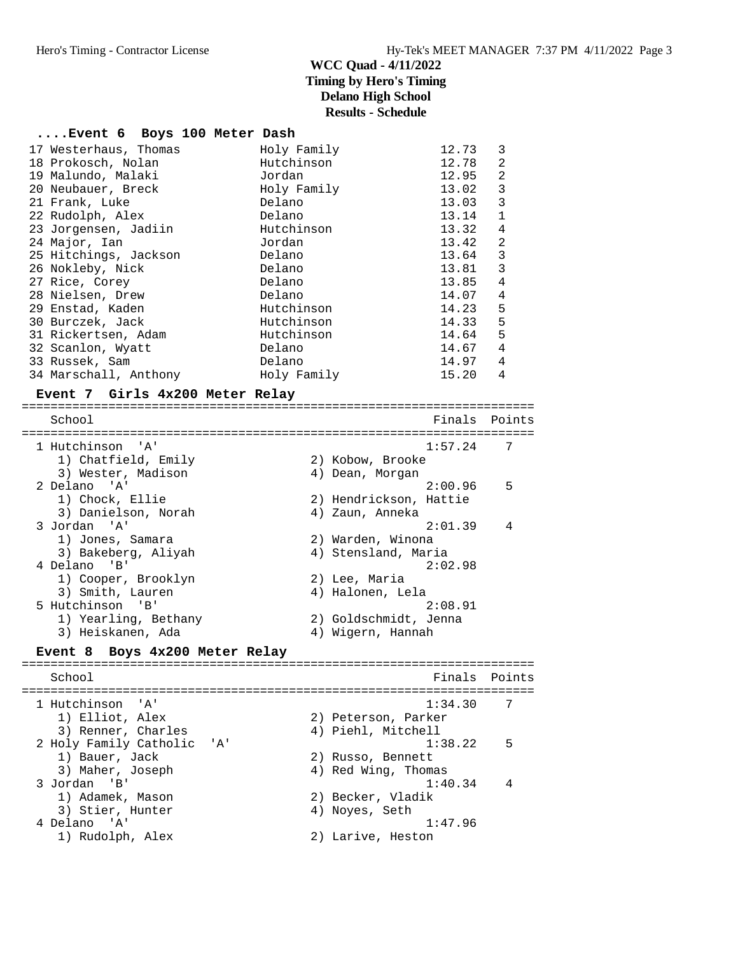#### **....Event 6 Boys 100 Meter Dash**

| 17 Westerhaus, Thomas | Holy Family | 12.73 | 3 |
|-----------------------|-------------|-------|---|
| 18 Prokosch, Nolan    | Hutchinson  | 12.78 | 2 |
| 19 Malundo, Malaki    | Jordan      | 12.95 | 2 |
| 20 Neubauer, Breck    | Holy Family | 13.02 | 3 |
| 21 Frank, Luke        | Delano      | 13.03 | 3 |
| 22 Rudolph, Alex      | Delano      | 13.14 | 1 |
| 23 Jorgensen, Jadiin  | Hutchinson  | 13.32 | 4 |
| 24 Major, Ian         | Jordan      | 13.42 | 2 |
| 25 Hitchings, Jackson | Delano      | 13.64 | 3 |
| 26 Nokleby, Nick      | Delano      | 13.81 | 3 |
| 27 Rice, Corey        | Delano      | 13.85 | 4 |
| 28 Nielsen, Drew      | Delano      | 14.07 | 4 |
| 29 Enstad, Kaden      | Hutchinson  | 14.23 | 5 |
| 30 Burczek, Jack      | Hutchinson  | 14.33 | 5 |
| 31 Rickertsen, Adam   | Hutchinson  | 14.64 | 5 |
| 32 Scanlon, Wyatt     | Delano      | 14.67 | 4 |
| 33 Russek, Sam        | Delano      | 14.97 | 4 |
| 34 Marschall, Anthony | Holy Family | 15.20 | 4 |
|                       |             |       |   |

#### **Event 7 Girls 4x200 Meter Relay**

======================================================================= School **Finals Points** ======================================================================= 1 Hutchinson 'A' 1:57.24 7 1) Chatfield, Emily 12) Kobow, Brooke 3) Wester, Madison 4) Dean, Morgan 2 Delano 'A' 2:00.96 5 1) Chock, Ellie 2) Hendrickson, Hattie 3) Danielson, Norah (4) Zaun, Anneka 3 Jordan 'A' 2:01.39 4 1) Jones, Samara 2) Warden, Winona 3) Bakeberg, Aliyah 4) Stensland, Maria 4 Delano 'B' 2:02.98 1) Cooper, Brooklyn (2) Lee, Maria 3) Smith, Lauren (4) Halonen, Lela 5 Hutchinson 'B' 2:08.91 1) Yearling, Bethany 2) Goldschmidt, Jenna 3) Heiskanen, Ada 4) Wigern, Hannah **Event 8 Boys 4x200 Meter Relay** ======================================================================= School Finals Points ======================================================================= 1 Hutchinson 'A'<br>1) Elliot, Alex 1) Elliot, Alex 2) Peterson, Parker 3) Renner, Charles (4) Piehl, Mitchell 2 Holy Family Catholic 'A' 1:38.22 5<br>
1) Bauer, Jack 2) Russo, Bennett<br>
3) Maher, Joseph 4) Red Wing, Thomas 1) Bauer, Jack 2) Russo, Bennett 3) Maher, Joseph 4) Red Wing, Thomas 3 Jordan 'B' 1:40.34 4 1) Adamek, Mason 2) Becker, Vladik 3) Stier, Hunter (4) Noyes, Seth 4 Delano 'A' 1:47.96 1) Rudolph, Alex 2) Larive, Heston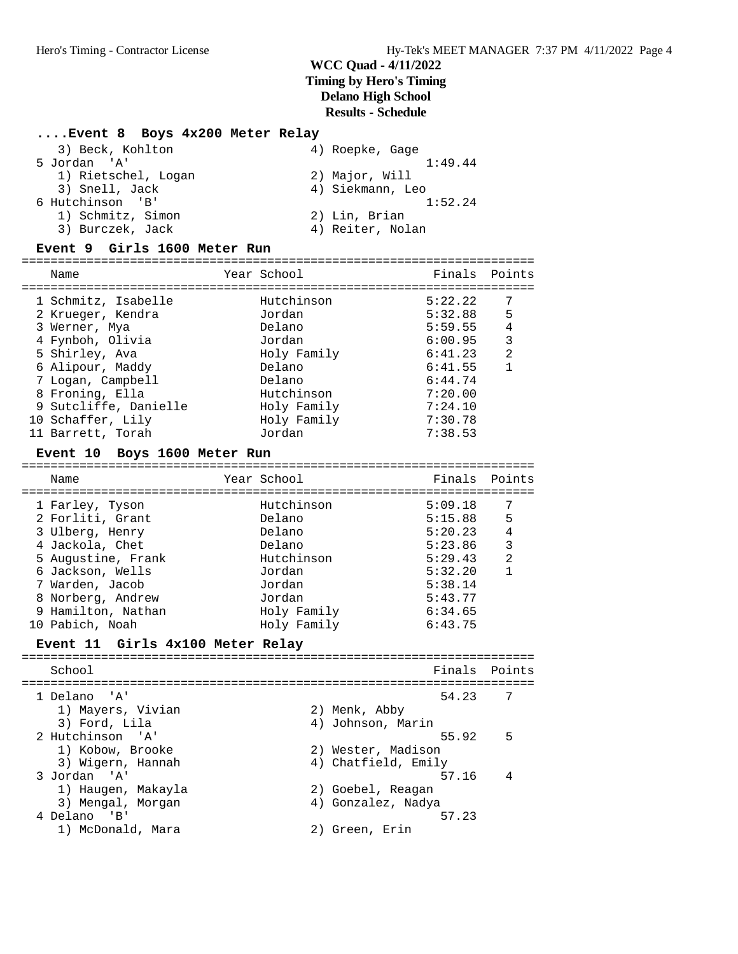# **....Event 8 Boys 4x200 Meter Relay**

| 3) Beck, Kohlton    | 4) Roepke, Gage  |
|---------------------|------------------|
| 5 Jordan 'A'        | 1:49.44          |
| 1) Rietschel, Logan | 2) Major, Will   |
| 3) Snell, Jack      | 4) Siekmann, Leo |
| 6 Hutchinson 'B'    | 1:52.24          |
| 1) Schmitz, Simon   | 2) Lin, Brian    |
| 3) Burczek, Jack    | 4) Reiter, Nolan |

### **Event 9 Girls 1600 Meter Run**

| Name                  | Year School | Finals Points |                |
|-----------------------|-------------|---------------|----------------|
| 1 Schmitz, Isabelle   | Hutchinson  | 5:22.22       | 7              |
| 2 Krueger, Kendra     | Jordan      | 5:32.88       | 5              |
| 3 Werner, Mya         | Delano      | 5:59.55       | 4              |
| 4 Fynboh, Olivia      | Jordan      | 6:00.95       | 3              |
| 5 Shirley, Ava        | Holy Family | 6:41.23       | $\mathfrak{D}$ |
| 6 Alipour, Maddy      | Delano      | 6:41.55       |                |
| 7 Logan, Campbell     | Delano      | 6:44.74       |                |
| 8 Froning, Ella       | Hutchinson  | 7:20.00       |                |
| 9 Sutcliffe, Danielle | Holy Family | 7:24.10       |                |
| 10 Schaffer, Lily     | Holy Family | 7:30.78       |                |
| 11 Barrett, Torah     | Jordan      | 7:38.53       |                |

# **Event 10 Boys 1600 Meter Run** =======================================================================

| Name               | Year School | Finals Points |                |
|--------------------|-------------|---------------|----------------|
| 1 Farley, Tyson    | Hutchinson  | 5:09.18       |                |
| 2 Forliti, Grant   | Delano      | 5:15.88       | 5              |
| 3 Ulberg, Henry    | Delano      | 5:20.23       | $\overline{4}$ |
| 4 Jackola, Chet    | Delano      | 5:23.86       | 3              |
| 5 Augustine, Frank | Hutchinson  | 5:29.43       | 2              |
| 6 Jackson, Wells   | Jordan      | 5:32.20       |                |
| 7 Warden, Jacob    | Jordan      | 5:38.14       |                |
| 8 Norberg, Andrew  | Jordan      | 5:43.77       |                |
| 9 Hamilton, Nathan | Holy Family | 6:34.65       |                |
| 10 Pabich, Noah    | Holy Family | 6:43.75       |                |

### **Event 11 Girls 4x100 Meter Relay**

| School             |                     | Finals Points |
|--------------------|---------------------|---------------|
| 1 Delano 'A'       | 54.23               | -7            |
| 1) Mayers, Vivian  | 2) Menk, Abby       |               |
| 3) Ford, Lila      | 4) Johnson, Marin   |               |
| 2 Hutchinson 'A'   | 55.92               | -5            |
| 1) Kobow, Brooke   | 2) Wester, Madison  |               |
| 3) Wigern, Hannah  | 4) Chatfield, Emily |               |
| 3 Jordan 'A'       | 57.16               | - 4           |
| 1) Haugen, Makayla | 2) Goebel, Reagan   |               |
| 3) Mengal, Morgan  | 4) Gonzalez, Nadya  |               |
| 4 Delano 'B'       | 57.23               |               |
| 1) McDonald, Mara  | 2) Green, Erin      |               |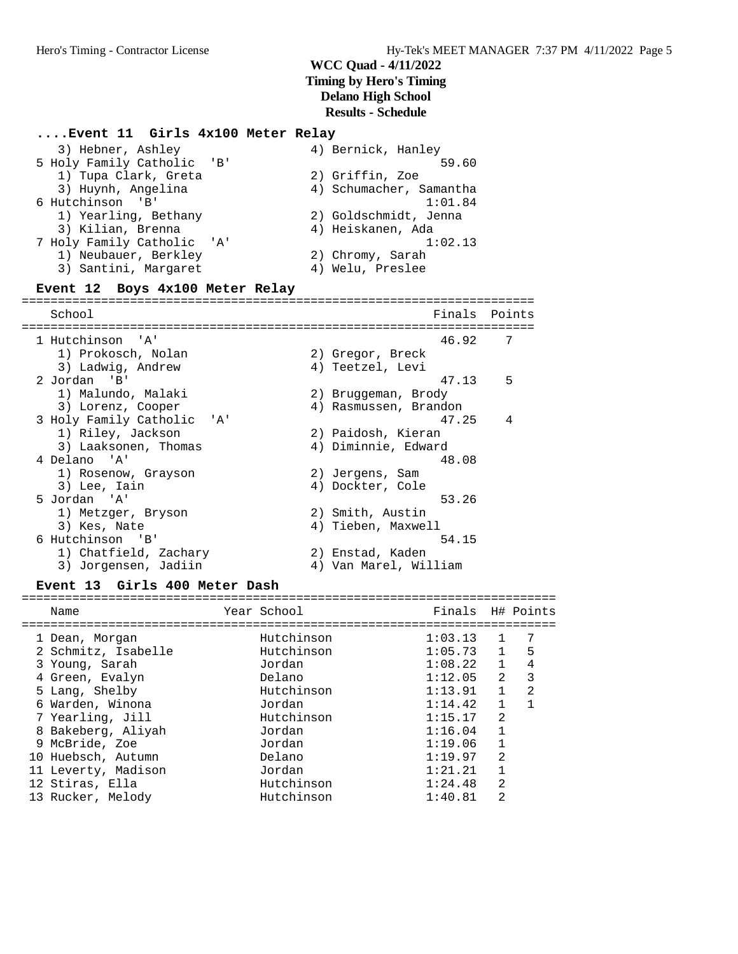#### **....Event 11 Girls 4x100 Meter Relay**

| 3) Hebner, Ashley                     | 4) Bernick, Hanley      |
|---------------------------------------|-------------------------|
| 5 Holy Family Catholic 'B'            | 59.60                   |
| 1) Tupa Clark, Greta                  | 2) Griffin, Zoe         |
| 3) Huynh, Angelina                    | 4) Schumacher, Samantha |
| 6 Hutchinson 'B'                      | 1:01.84                 |
| 1) Yearling, Bethany                  | 2) Goldschmidt, Jenna   |
| 3) Kilian, Brenna                     | 4) Heiskanen, Ada       |
| 7 Holy Family Catholic 'A'            | 1:02.13                 |
| 1) Neubauer, Berkley                  | 2) Chromy, Sarah        |
| 3) Santini, Margaret                  | 4) Welu, Preslee        |
| $E = 12$ $R = 10$ $R = 100$ $M = 100$ |                         |

#### **Event 12 Boys 4x100 Meter Relay**

======================================================================= School Finals Points ======================================================================= 1 Hutchinson 'A' 46.92 7 1) Prokosch, Nolan 2) Gregor, Breck 3) Ladwig, Andrew (4) Teetzel, Levi 2 Jordan 'B' 47.13 5 1) Malundo, Malaki 2) Bruggeman, Brody 3) Lorenz, Cooper 4) Rasmussen, Brandon 3 Holy Family Catholic 'A' 47.25 4 1) Riley, Jackson 2) Paidosh, Kieran 3) Laaksonen, Thomas (4) Diminnie, Edward 4 Delano 'A' 48.08 1) Rosenow, Grayson 2) Jergens, Sam 3) Lee, Iain (4) Dockter, Cole 5 Jordan 'A' 53.26 1) Metzger, Bryson 2) Smith, Austin 3) Kes, Nate 1988 (2008) 4 Maxwell 6 Hutchinson 'B' 54.15 1) Chatfield, Zachary (2) Enstad, Kaden 3) Jorgensen, Jadiin 4) Van Marel, William

#### **Event 13 Girls 400 Meter Dash**

| Name                | Year School | Finals H# Points |                |                |
|---------------------|-------------|------------------|----------------|----------------|
|                     |             |                  |                |                |
| 1 Dean, Morgan      | Hutchinson  | 1:03.13          | $\mathbf{1}$   | 7              |
| 2 Schmitz, Isabelle | Hutchinson  | $1:05.73$ 1      |                | - 5            |
| 3 Young, Sarah      | Jordan      | 1:08.22          | $\overline{1}$ | 4              |
| 4 Green, Evalyn     | Delano      | 1:12.05          | 2              | 3              |
| 5 Lang, Shelby      | Hutchinson  | 1:13.91          | $\mathbf{1}$   | $\mathfrak{D}$ |
| 6 Warden, Winona    | Jordan      | 1:14.42          | $\mathbf{1}$   |                |
| 7 Yearling, Jill    | Hutchinson  | 1:15.17          | $\mathfrak{D}$ |                |
| 8 Bakeberg, Aliyah  | Jordan      | 1:16.04          | 1              |                |
| 9 McBride, Zoe      | Jordan      | 1:19.06          | $\mathbf{1}$   |                |
| 10 Huebsch, Autumn  | Delano      | 1:19.97          | $\mathfrak{D}$ |                |
| 11 Leverty, Madison | Jordan      | 1:21.21          | $\mathbf{1}$   |                |
| 12 Stiras, Ella     | Hutchinson  | 1:24.48          | 2              |                |
| 13 Rucker, Melody   | Hutchinson  | 1:40.81          | 2              |                |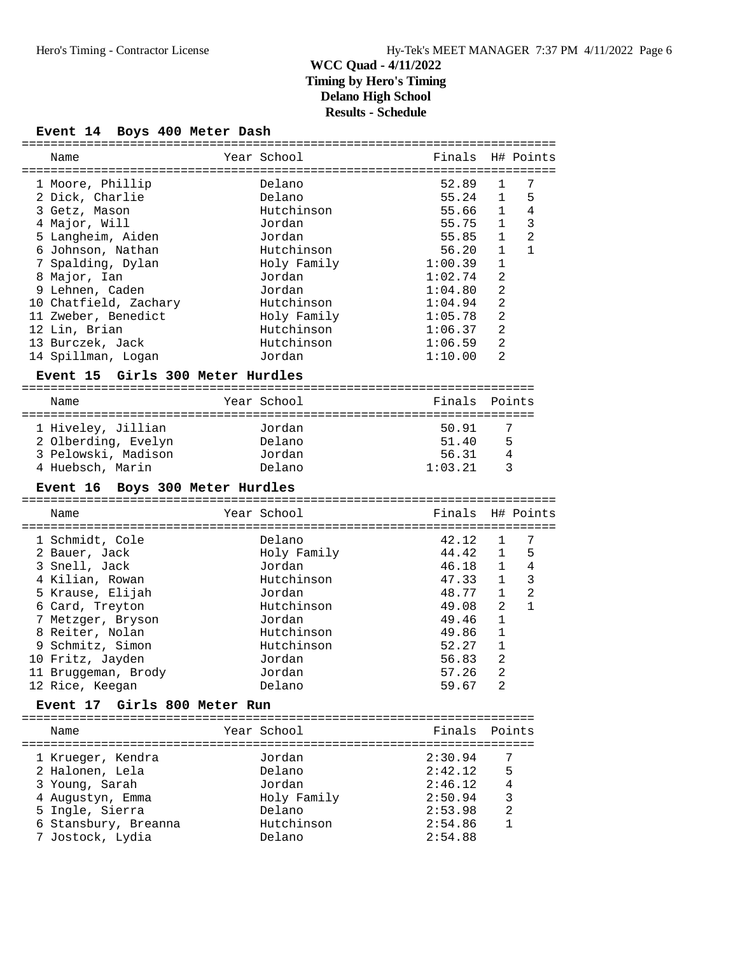### **Event 14 Boys 400 Meter Dash**

| Name                                     | Year School          | Finals                  |                | H# Points      |
|------------------------------------------|----------------------|-------------------------|----------------|----------------|
|                                          |                      |                         |                |                |
| 1 Moore, Phillip                         | Delano               | 52.89                   | 1              | 7              |
| 2 Dick, Charlie                          | Delano               | 55.24                   | $\mathbf{1}$   | 5              |
| 3 Getz, Mason                            | Hutchinson           | 55.66                   | 1              | $\overline{4}$ |
| 4 Major, Will                            | Jordan               | 55.75                   | $\mathbf{1}$   | 3              |
| 5 Langheim, Aiden                        | Jordan               | 55.85                   | $\mathbf{1}$   | $\overline{2}$ |
| 6 Johnson, Nathan                        | Hutchinson           | 56.20                   | $\mathbf{1}$   | $\mathbf{1}$   |
| 7 Spalding, Dylan                        | Holy Family          | 1:00.39                 | 1              |                |
| 8 Major, Ian                             | Jordan               | 1:02.74                 | $\overline{a}$ |                |
|                                          |                      | 1:04.80                 | $\overline{2}$ |                |
| 9 Lehnen, Caden                          | Jordan               |                         |                |                |
| 10 Chatfield, Zachary                    | Hutchinson           | 1:04.94                 | $\overline{a}$ |                |
| 11 Zweber, Benedict                      | Holy Family          | 1:05.78                 | $\overline{a}$ |                |
| 12 Lin, Brian                            | Hutchinson           | 1:06.37                 | 2              |                |
| 13 Burczek, Jack                         | Hutchinson           | 1:06.59                 | $\overline{a}$ |                |
| 14 Spillman, Logan                       | Jordan               | 1:10.00                 | $\overline{a}$ |                |
| Event 15 Girls 300 Meter Hurdles         |                      |                         |                |                |
| Name                                     | Year School          | Finals                  |                | Points         |
|                                          |                      | ======================= |                |                |
| 1 Hiveley, Jillian                       | Jordan               | 50.91                   |                | 7              |
| 2 Olberding, Evelyn                      | Delano               | 51.40                   | 5              |                |
| 3 Pelowski, Madison                      | Jordan               | 56.31                   |                | 4              |
| 4 Huebsch, Marin                         | Delano               | 1:03.21                 |                | 3              |
|                                          |                      |                         |                |                |
| Event 16 Boys 300 Meter Hurdles          |                      |                         |                |                |
|                                          |                      |                         |                |                |
| Name                                     | Year School          | Finals                  |                | H# Points      |
|                                          |                      |                         |                |                |
| 1 Schmidt, Cole                          | Delano               | 42.12                   | 1              | 7              |
| 2 Bauer, Jack                            | Holy Family          | 44.42                   | 1              | 5              |
| 3 Snell, Jack                            | Jordan               | 46.18                   | $\mathbf{1}$   | 4              |
| 4 Kilian, Rowan                          | Hutchinson           | 47.33                   | $\mathbf{1}$   | 3              |
| 5 Krause, Elijah                         | Jordan               | 48.77                   | $\mathbf{1}$   | 2              |
| 6 Card, Treyton                          | Hutchinson           | 49.08                   | 2              | $\mathbf{1}$   |
| 7 Metzger, Bryson                        | Jordan               | 49.46                   | $\mathbf{1}$   |                |
| 8 Reiter, Nolan                          | Hutchinson           | 49.86                   | $\mathbf 1$    |                |
| 9 Schmitz, Simon                         | Hutchinson           | 52.27                   | 1              |                |
| 10 Fritz, Jayden                         | Jordan               | 56.83                   | $\overline{a}$ |                |
| 11 Bruggeman, Brody                      | Jordan               | 57.26                   | $\overline{a}$ |                |
| 12 Rice, Keegan                          | Delano               | 59.67                   | 2              |                |
| Event 17 Girls 800 Meter Run             |                      |                         |                |                |
|                                          |                      |                         |                |                |
| Name                                     | Year School          | Finals                  |                | Points         |
| 1 Krueger, Kendra                        | Jordan               | 2:30.94                 |                | 7              |
|                                          | Delano               | 2:42.12                 |                | 5              |
| 2 Halonen, Lela                          | Jordan               | 2:46.12                 |                | 4              |
| 3 Young, Sarah                           |                      |                         |                |                |
| 4 Augustyn, Emma                         | Holy Family          | 2:50.94                 |                | 3              |
| 5 Ingle, Sierra                          | Delano               | 2:53.98                 |                | $\overline{2}$ |
| 6 Stansbury, Breanna<br>7 Jostock, Lydia | Hutchinson<br>Delano | 2:54.86<br>2:54.88      |                | 1              |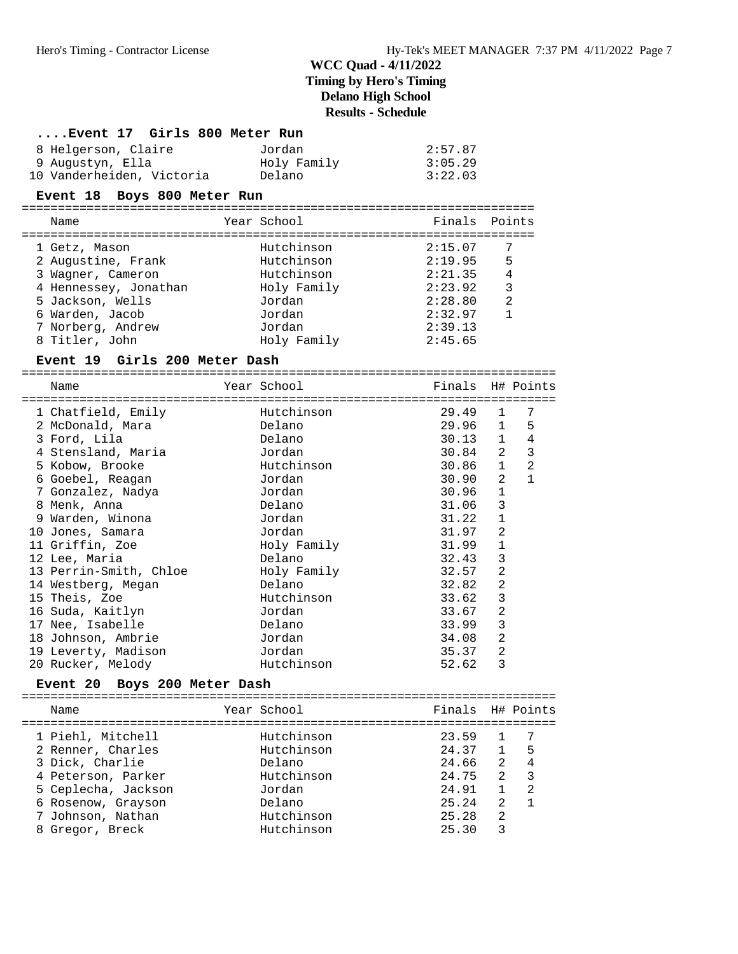| Event 17 Girls 800 Meter Run  |             |               |                  |  |  |  |
|-------------------------------|-------------|---------------|------------------|--|--|--|
| 8 Helgerson, Claire           | Jordan      | 2:57.87       |                  |  |  |  |
| 9 Augustyn, Ella              | Holy Family | 3:05.29       |                  |  |  |  |
| 10 Vanderheiden, Victoria     | Delano      | 3:22.03       |                  |  |  |  |
| Event 18 Boys 800 Meter Run   |             |               |                  |  |  |  |
| Name                          | Year School | Finals Points |                  |  |  |  |
| 1 Getz, Mason                 | Hutchinson  | 2:15.07       | 7                |  |  |  |
| 2 Augustine, Frank            | Hutchinson  | 2:19.95       | 5                |  |  |  |
| 3 Wagner, Cameron             | Hutchinson  | 2:21.35       | $\overline{4}$   |  |  |  |
| 4 Hennessey, Jonathan         | Holy Family | 2:23.92       | 3                |  |  |  |
| 5 Jackson, Wells              | Jordan      | 2:28.80       | $\overline{2}$   |  |  |  |
| 6 Warden, Jacob               | Jordan      | 2:32.97       | 1                |  |  |  |
| 7 Norberg, Andrew             | Jordan      | 2:39.13       |                  |  |  |  |
| 8 Titler, John                | Holy Family | 2:45.65       |                  |  |  |  |
| Event 19 Girls 200 Meter Dash |             |               |                  |  |  |  |
| Name                          | Year School |               | Finals H# Points |  |  |  |

| 1 Chatfield, Emily     | Hutchinson  | 29.49 | 1              | 7              |
|------------------------|-------------|-------|----------------|----------------|
| 2 McDonald, Mara       | Delano      | 29.96 | $\mathbf{1}$   | 5              |
| 3 Ford, Lila           | Delano      | 30.13 | $\mathbf{1}$   | 4              |
| 4 Stensland, Maria     | Jordan      | 30.84 | 2              | 3              |
| 5 Kobow, Brooke        | Hutchinson  | 30.86 | $\mathbf{1}$   | $\overline{2}$ |
| 6 Goebel, Reagan       | Jordan      | 30.90 | 2              |                |
| 7 Gonzalez, Nadya      | Jordan      | 30.96 | $\mathbf{1}$   |                |
| 8 Menk, Anna           | Delano      | 31.06 | 3              |                |
| 9 Warden, Winona       | Jordan      | 31.22 | $\mathbf{1}$   |                |
| 10 Jones, Samara       | Jordan      | 31.97 | 2              |                |
| 11 Griffin, Zoe        | Holy Family | 31.99 | $\mathbf 1$    |                |
| 12 Lee, Maria          | Delano      | 32.43 | 3              |                |
| 13 Perrin-Smith, Chloe | Holy Family | 32.57 | $\overline{2}$ |                |
| 14 Westberg, Megan     | Delano      | 32.82 | 2              |                |
| 15 Theis, Zoe          | Hutchinson  | 33.62 | 3              |                |
| 16 Suda, Kaitlyn       | Jordan      | 33.67 | $\overline{2}$ |                |
| 17 Nee, Isabelle       | Delano      | 33.99 | 3              |                |
| 18 Johnson, Ambrie     | Jordan      | 34.08 | 2              |                |
| 19 Leverty, Madison    | Jordan      | 35.37 | 2              |                |
| 20 Rucker, Melody      | Hutchinson  | 52.62 | 3              |                |

# **Event 20 Boys 200 Meter Dash** ==========================================================================

| Name                | Year School | Finals H# Points |               |                         |
|---------------------|-------------|------------------|---------------|-------------------------|
| 1 Piehl, Mitchell   | Hutchinson  | 23.59            |               |                         |
| 2 Renner, Charles   | Hutchinson  | 24.37            | 1             | - 5                     |
| 3 Dick, Charlie     | Delano      | 24.66            | $2^{\circ}$   | - 4                     |
| 4 Peterson, Parker  | Hutchinson  | 24.75            | 2             | $\overline{\mathbf{3}}$ |
| 5 Ceplecha, Jackson | Jordan      | 24.91            |               | 2                       |
| 6 Rosenow, Grayson  | Delano      | 25.24            | $\mathcal{L}$ |                         |
| 7 Johnson, Nathan   | Hutchinson  | 25.28            | 2             |                         |
| 8 Gregor, Breck     | Hutchinson  | 25.30            | ς             |                         |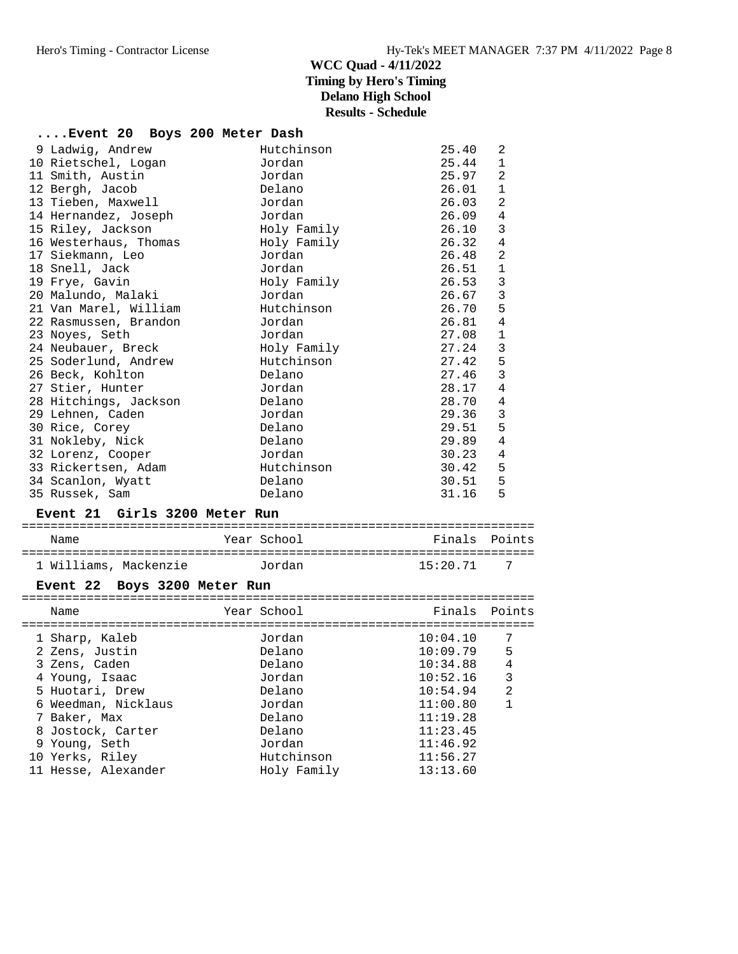| Event 20 Boys 200 Meter Dash                |                      |                |                   |
|---------------------------------------------|----------------------|----------------|-------------------|
| 9 Ladwig, Andrew<br>10 Rietschel, Logan     | Hutchinson<br>Jordan | 25.40<br>25.44 | 2<br>1            |
| 11 Smith, Austin                            | Jordan               | 25.97          | $\overline{2}$    |
| 12 Bergh, Jacob                             | Delano               | 26.01          | 1                 |
| 13 Tieben, Maxwell                          | Jordan               | 26.03          | $\overline{2}$    |
| 14 Hernandez, Joseph                        | Jordan               | 26.09          | 4                 |
| 15 Riley, Jackson                           | Holy Family          | 26.10          | 3                 |
| 16 Westerhaus, Thomas                       | Holy Family          | 26.32          | 4                 |
| 17 Siekmann, Leo                            | Jordan               | 26.48          | $\overline{2}$    |
| 18 Snell, Jack                              | Jordan               | 26.51          | $\mathbf{1}$      |
| 19 Frye, Gavin                              | Holy Family          | 26.53<br>26.67 | $\mathbf{3}$<br>3 |
| 20 Malundo, Malaki<br>21 Van Marel, William | Jordan<br>Hutchinson | 26.70          | 5                 |
|                                             | Jordan               | 26.81          | 4                 |
| 22 Rasmussen, Brandon                       | Jordan               | 27.08          | 1                 |
| 23 Noyes, Seth<br>24 Neubauer, Breck        | Holy Family          | 27.24          | 3                 |
| 25 Soderlund, Andrew                        | Hutchinson           | 27.42          | 5                 |
| 26 Beck, Kohlton                            | Delano               | 27.46          | 3                 |
| 27 Stier, Hunter                            | Jordan               | 28.17          | $\overline{4}$    |
| 28 Hitchings, Jackson                       | Delano               | 28.70          | 4                 |
| 29 Lehnen, Caden                            | Jordan               | 29.36          | 3                 |
| 30 Rice, Corey                              | Delano               | 29.51          | 5                 |
| 31 Nokleby, Nick                            | Delano               | 29.89          | $\overline{4}$    |
| 32 Lorenz, Cooper                           | Jordan               | 30.23          | 4                 |
| 33 Rickertsen, Adam                         | Hutchinson           | 30.42          | 5                 |
| 34 Scanlon, Wyatt                           | Delano               | 30.51          | 5                 |
| 35 Russek, Sam                              | Delano               | 31.16          | 5                 |
|                                             |                      |                |                   |
| Event 21 Girls 3200 Meter Run               |                      |                |                   |
| Name                                        | Year School          | Finals Points  |                   |
| 1 Williams, Mackenzie 6 Jordan              |                      | 15:20.71       | 7                 |
| Event 22 Boys 3200 Meter Run                |                      |                |                   |
| Name                                        | Year School          | Finals         | Points            |
| 1 Sharp, Kaleb                              | Jordan               | 10:04.10       | 7                 |
| 2 Zens, Justin                              | Delano               | 10:09.79       | -5                |
| 3 Zens, Caden                               | Delano               | 10:34.88 4     |                   |
| 4 Young, Isaac                              | Jordan               | 10:52.16       | 3                 |
| 5 Huotari, Drew                             | Delano               | 10:54.94       | $\overline{a}$    |
| 6 Weedman, Nicklaus                         | Jordan               | 11:00.80       | 1                 |
| 7 Baker, Max                                | Delano               | 11:19.28       |                   |
| 8 Jostock, Carter                           | Delano               | 11:23.45       |                   |
| 9 Young, Seth                               | Jordan               | 11:46.92       |                   |
| 10 Yerks, Riley                             | Hutchinson           | 11:56.27       |                   |
| 11 Hesse, Alexander                         | Holy Family          | 13:13.60       |                   |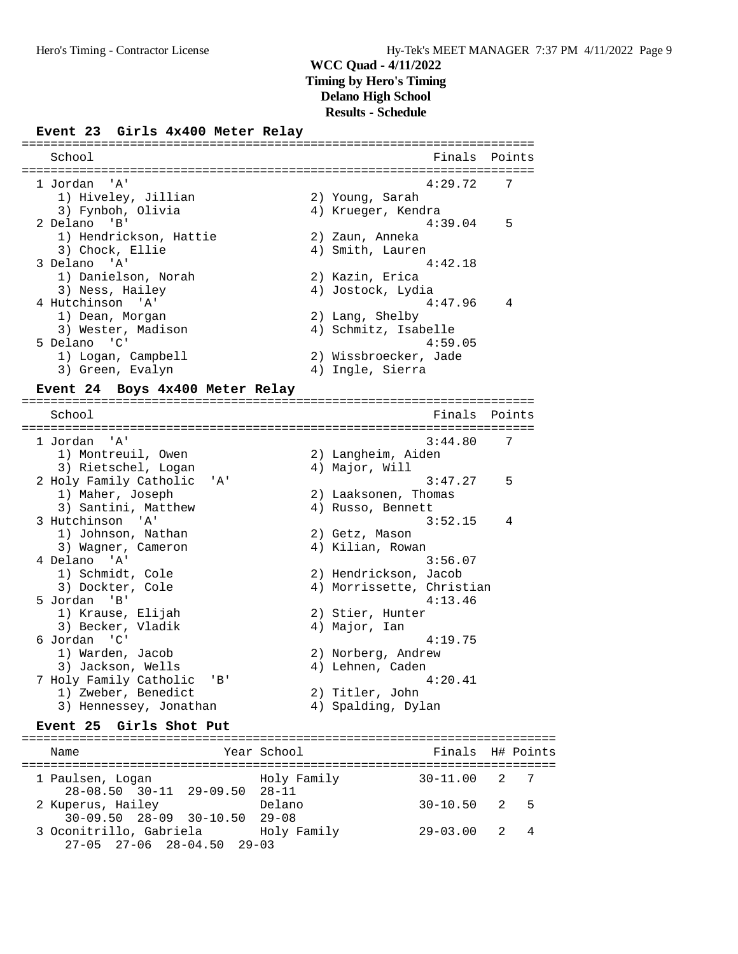#### **Event 23 Girls 4x400 Meter Relay**

| School                 | Finals Points         |                |
|------------------------|-----------------------|----------------|
| 1 Jordan 'A'           | 4:29.72               | -7             |
| 1) Hiveley, Jillian    | 2) Young, Sarah       |                |
| 3) Fynboh, Olivia      | 4) Krueger, Kendra    |                |
| 2 Delano 'B'           | 4:39.04               | 5              |
| 1) Hendrickson, Hattie | 2) Zaun, Anneka       |                |
| 3) Chock, Ellie        | 4) Smith, Lauren      |                |
| 3 Delano 'A'           | 4:42.18               |                |
| 1) Danielson, Norah    | 2) Kazin, Erica       |                |
| 3) Ness, Hailey        | 4) Jostock, Lydia     |                |
| 4 Hutchinson 'A'       | 4:47.96               | $\overline{4}$ |
| 1) Dean, Morgan        | 2) Lang, Shelby       |                |
| 3) Wester, Madison     | 4) Schmitz, Isabelle  |                |
| 5 Delano 'C'           | 4:59.05               |                |
| 1) Logan, Campbell     | 2) Wissbroecker, Jade |                |
| 3) Green, Evalyn       | 4) Ingle, Sierra      |                |

=======================================================================

#### **Event 24 Boys 4x400 Meter Relay**

School **Finals** Points ======================================================================= 1 Jordan 'A' 3:44.80 7 1) Montreuil, Owen 2) Langheim, Aiden 3) Rietschel, Logan (4) Major, Will 2 Holy Family Catholic 'A' 3:47.27 5 1) Maher, Joseph 2) Laaksonen, Thomas 3) Santini, Matthew (4) Russo, Bennett 3 Hutchinson 'A' 3:52.15 4 1) Johnson, Nathan 2) Getz, Mason 3) Hutchinson 'A'<br>
1) Johnson, Nathan 2) Getz, Mason<br>
3) Wagner, Cameron 4) Kilian, Rowan 4 Delano 'A' 3:56.07<br>1) Schmidt, Cole 3:56.07<br>2) Hendrickson, Jacob 1) Schmidt, Cole 2) Hendrickson, Jacob 3) Dockter, Cole 4) Morrissette, Christian 5 Jordan 'B' 4:13.46 1) Krause, Elijah 2) Stier, Hunter 3) Becker, Vladik (4) Major, Ian 6 Jordan 'C' 4:19.75 1) Warden, Jacob 2) Norberg, Andrew 3) Jackson, Wells (4) Lehnen, Caden 7 Holy Family Catholic 'B' 4:20.41 1) Zweber, Benedict 2) Titler, John 3) Hennessey, Jonathan (4) Spalding, Dylan

#### **Event 25 Girls Shot Put**

| Name                                                          | Year School | Finals H# Points |     |  |
|---------------------------------------------------------------|-------------|------------------|-----|--|
| 1 Paulsen, Logan<br>28-08.50 30-11 29-09.50 28-11             | Holy Family | $30 - 11.00$ 2 7 |     |  |
| 2 Kuperus, Hailey<br>$30-09.50$ $28-09$ $30-10.50$ $29-08$    | Delano      | $30 - 10.50$ 2 5 |     |  |
| 3 Oconitrillo, Gabriela<br>$27-05$ $27-06$ $28-04.50$ $29-03$ | Holy Family | 29-03.00         | 2 4 |  |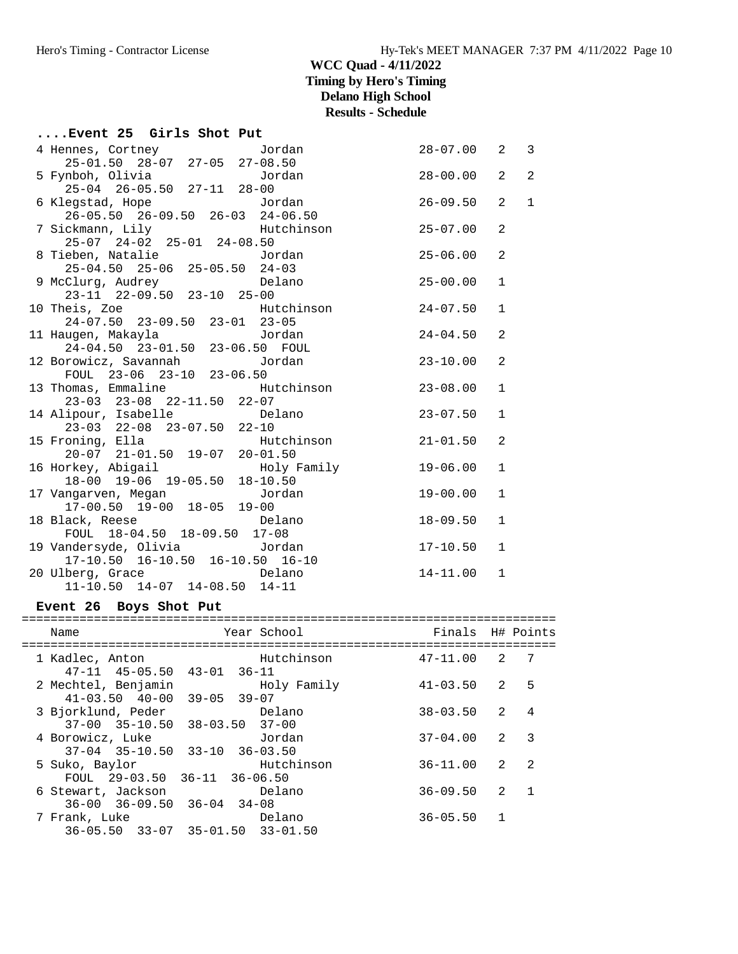### **....Event 25 Girls Shot Put**

| 4 Hennes, Cortney Cordan                                              |                     | $28 - 07.00$ | $\overline{2}$ | $\mathbf{3}$ |
|-----------------------------------------------------------------------|---------------------|--------------|----------------|--------------|
| 25-01.50 28-07 27-05 27-08.50                                         |                     |              |                |              |
|                                                                       |                     |              | $\overline{2}$ | 2            |
| 25-04 26-05.50 27-11 28-00                                            |                     |              |                |              |
|                                                                       |                     | $26 - 09.50$ | $\overline{2}$ | $\mathbf{1}$ |
|                                                                       |                     |              |                |              |
| 7 Sickmann, Lily Mutchinson 25-07.00                                  |                     |              | 2              |              |
| 25-07 24-02 25-01 24-08.50                                            |                     |              |                |              |
| 8 Tieben, Natalie Marco Jordan                                        | $25 - 06.00$        |              | 2              |              |
| $25-04.50$ $25-06$ $25-05.50$ $24-03$                                 |                     |              |                |              |
| 9 McClurg, Audrey Delano 25-00.00                                     |                     |              | $\mathbf 1$    |              |
| 23-11 22-09.50 23-10 25-00                                            |                     |              |                |              |
| 10 Theis, Zoe                                                         | Hutchinson 24-07.50 |              | $\mathbf{1}$   |              |
| 24-07.50 23-09.50 23-01 23-05                                         |                     |              |                |              |
|                                                                       |                     |              | 2              |              |
|                                                                       |                     |              |                |              |
| 12 Borowicz, Savannah dan Jordan (1987-10.00                          |                     |              | 2              |              |
| FOUL 23-06 23-10 23-06.50                                             |                     |              |                |              |
| 13 Thomas, Emmaline Futchinson 23-08.00                               |                     |              | $\mathbf{1}$   |              |
| 23-03 23-08 22-11.50 22-07<br>14 Alipour, Isabelle Delano 23-07.50    |                     |              |                |              |
|                                                                       |                     |              | $\mathbf{1}$   |              |
| 23-03 22-08 23-07.50 22-10                                            |                     |              |                |              |
| 15 Froning, Ella Hutchinson 21-01.50<br>20-07 21-01.50 19-07 20-01.50 |                     |              | 2              |              |
|                                                                       |                     |              |                |              |
| 16 Horkey, Abigail and Holy Family<br>18-00 19-06 19-05.50 18-10.50   |                     | $19 - 06.00$ | $\mathbf{1}$   |              |
|                                                                       |                     |              |                |              |
| 17 Vangarven, Megan     Jordan                                        |                     | $19 - 00.00$ | $\mathbf{1}$   |              |
| 17-00.50 19-00 18-05 19-00                                            |                     |              |                |              |
| 18 Black, Reese Delano                                                |                     | $18 - 09.50$ | $\mathbf{1}$   |              |
| FOUL 18-04.50 18-09.50 17-08                                          |                     |              |                |              |
| 19 Vandersyde, Olivia            Jordan                               |                     | 17-10.50     | $\mathbf{1}$   |              |
| 17-10.50 16-10.50 16-10.50 16-10                                      |                     |              |                |              |
| 20 Ulberg, Grace and Delano                                           |                     | 14-11.00     | $\mathbf{1}$   |              |
| $11-10.50$ $14-07$ $14-08.50$ $14-11$                                 |                     |              |                |              |

### **Event 26 Boys Shot Put**

| Year School<br>Finals<br>Name                                                                       |                | H# Points      |
|-----------------------------------------------------------------------------------------------------|----------------|----------------|
|                                                                                                     |                |                |
| Hutchinson<br>$47 - 11.00$<br>1 Kadlec, Anton<br>$47-11$ $45-05.50$ $43-01$ $36-11$                 | $\mathcal{L}$  | 7              |
| $41 - 03.50$<br>2 Mechtel, Benjamin<br>Holy Family<br>$41 - 03.50$ $40 - 00$<br>$39 - 05$ $39 - 07$ | 2              | 5              |
| $38 - 03.50$<br>3 Bjorklund, Peder<br>Delano<br>$37-00$ $35-10.50$ $38-03.50$ $37-00$               | $\mathcal{L}$  | $\overline{4}$ |
| $37 - 04.00$<br>4 Borowicz, Luke<br>Jordan<br>$37-04$ $35-10.50$ $33-10$ $36-03.50$                 | $\mathcal{L}$  | 3              |
| Hutchinson<br>$36 - 11.00$<br>5 Suko, Baylor<br>FOUL $29-03.50$ $36-11$ $36-06.50$                  | $\mathfrak{D}$ | $\mathfrak{D}$ |
| $36 - 09.50$<br>Delano<br>6 Stewart, Jackson<br>$36-00$ $36-09.50$ $36-04$ $34-08$                  | 2              |                |
| $36 - 05.50$<br>7 Frank, Luke<br>Delano<br>$36-05.50$ $33-07$ $35-01.50$ $33-01.50$                 | 1              |                |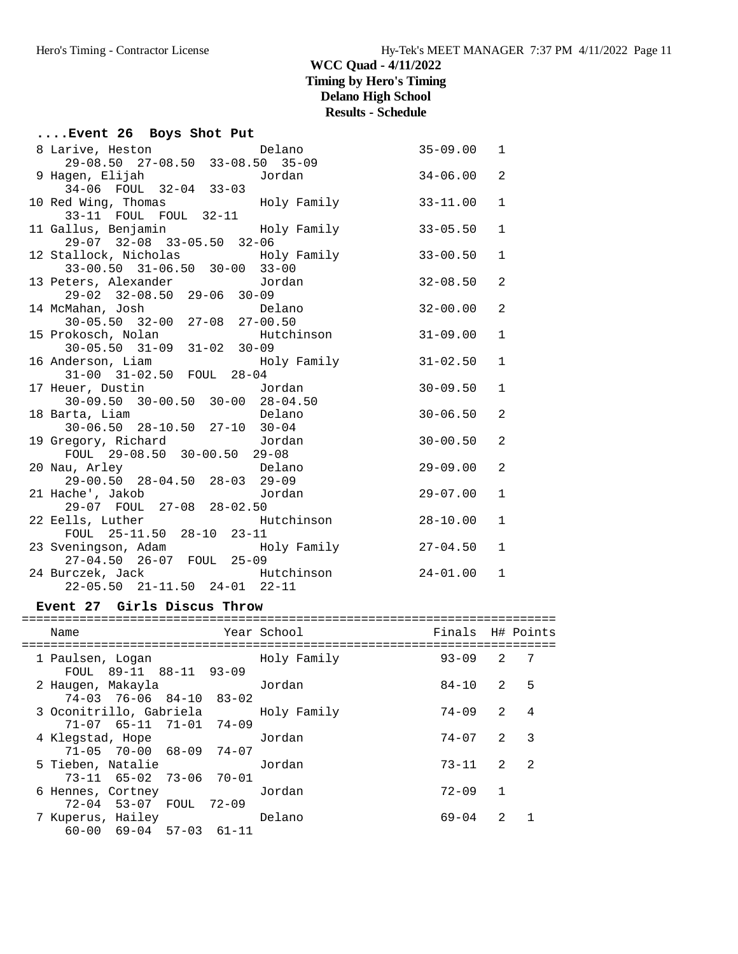|  |  | Event 26 Boys Shot Put |  |  |  |  |  |
|--|--|------------------------|--|--|--|--|--|
|--|--|------------------------|--|--|--|--|--|

| 8 Larive, Heston<br>rive, Heston<br>29-08.50  27-08.50  33-08.50  35-09<br>Jordan | $35 - 09.00$ | 1            |
|-----------------------------------------------------------------------------------|--------------|--------------|
|                                                                                   |              |              |
| 9 Hagen, Elijah<br>34-06 FOUL 32-04 33-03                                         | $34 - 06.00$ | 2            |
|                                                                                   |              | $\mathbf{1}$ |
|                                                                                   | 33-11.00     |              |
| 11 Gallus, Benjamin                     Holy Family                               | $33 - 05.50$ | $\mathbf{1}$ |
| 29-07 32-08 33-05.50 32-06                                                        |              |              |
| 12 Stallock, Nicholas               Holy Family                                   | $33 - 00.50$ | $\mathbf{1}$ |
| 33-00.50 31-06.50 30-00 33-00                                                     |              |              |
| 33-00.50 31-06.50 30-00 33-00<br>13 Peters, Alexander Jordan                      | 32-08.50     | 2            |
|                                                                                   |              |              |
|                                                                                   | 32-00.00     | 2            |
|                                                                                   |              |              |
| 15 Prokosch, Nolan<br>30-05.50 31-09 31-02 30-09                                  | 31-09.00     | $\mathbf{1}$ |
|                                                                                   |              |              |
| 16 Anderson, Liam and Holy Family                                                 | $31 - 02.50$ | $\mathbf{1}$ |
| 31-00 31-02.50 FOUL 28-04<br><b>Jordan</b>                                        |              |              |
| 17 Heuer, Dustin<br>uer, Dustin<br>30-09.50 30-00.50 30-00 28-04.50<br>Delano     | $30 - 09.50$ | $\mathbf{1}$ |
| 18 Barta, Liam                                                                    | $30 - 06.50$ | 2            |
| $30-06.50$ $28-10.50$ $27-10$ $30-04$                                             |              |              |
| 19 Gregory, Richard Gordan                                                        | $30 - 00.50$ | 2            |
| $FOUL$ 29-08.50 30-00.50 29-08                                                    |              |              |
|                                                                                   | $29 - 09.00$ | 2            |
| 20 Nau, Arley Delano<br>29-00.50 28-04.50 28-03 29-09                             |              |              |
| 21 Hache', Jakob     Jordan                                                       | $29 - 07.00$ | $\mathbf{1}$ |
| 29-07 FOUL 27-08 28-02.50                                                         |              |              |
| 22 Eells, Luther Mutchinson                                                       | 28-10.00     | 1            |
| FOUL 25-11.50 28-10 23-11                                                         |              |              |
| 23 Sveningson, Adam Moly Family<br>27-04.50 26-07 FOUL 25-09                      | 27-04.50     | $\mathbf{1}$ |
| 24 Burczek, Jack Mutchinson                                                       | $24 - 01.00$ | $\mathbf{1}$ |
| 22-05.50 21-11.50 24-01 22-11                                                     |              |              |
|                                                                                   |              |              |

### **Event 27 Girls Discus Throw**

| Name                                                         | Year School | Finals    |                | H# Points      |
|--------------------------------------------------------------|-------------|-----------|----------------|----------------|
| 1 Paulsen, Logan<br>FOUL 89-11 88-11 93-09                   | Holy Family | $93 - 09$ | $\mathcal{L}$  | 7              |
| 2 Haugen, Makayla<br>$74-03$ $76-06$ $84-10$ $83-02$         | Jordan      | $84 - 10$ | 2              | 5              |
| 3 Oconitrillo, Gabriela<br>$71-07$ 65-11 71-01 74-09         | Holy Family | $74 - 09$ | $\mathcal{L}$  | $\overline{4}$ |
| 4 Klegstad, Hope<br>$71-05$ $70-00$ $68-09$ $74-07$          | Jordan      | 74-07     | 2              | 3              |
| 5 Tieben, Natalie<br>73-11 65-02 73-06 70-01                 | Jordan      | $73 - 11$ | $2^{1}$        | $\overline{2}$ |
| 6 Hennes, Cortney<br>72-04 53-07 FOUL 72-09                  | Jordan      | 72-09     | $\overline{1}$ |                |
| 7 Kuperus, Hailey<br>$60 - 00$ $69 - 04$ $57 - 03$ $61 - 11$ | Delano      | $69 - 04$ | $\mathcal{L}$  |                |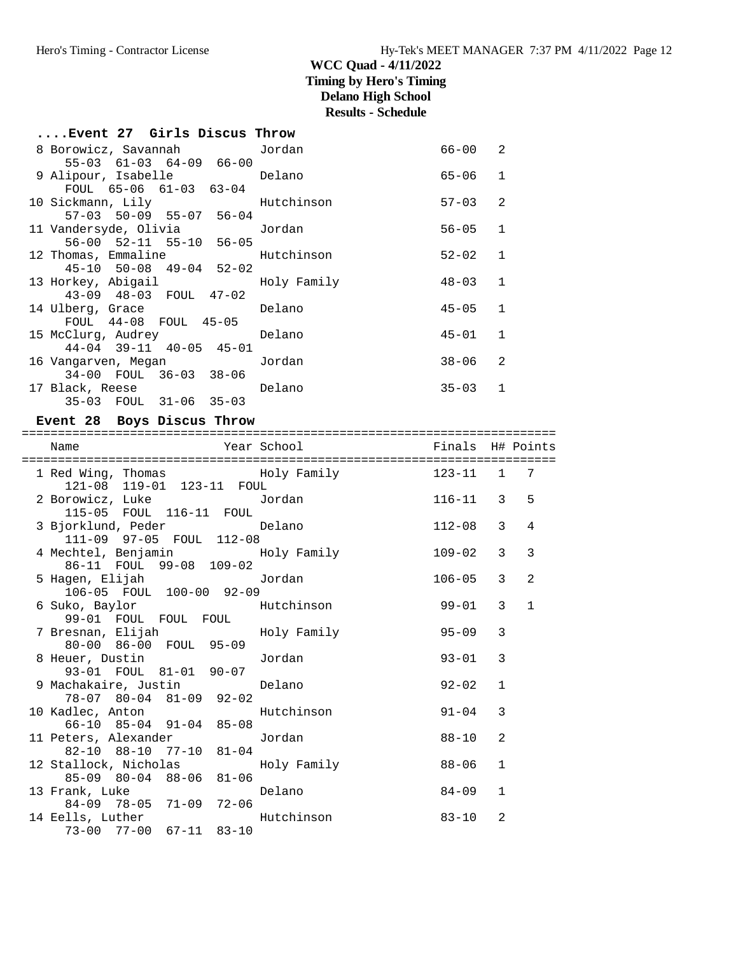73-00 77-00 67-11 83-10

| Event 27 Girls Discus Throw                                            |                              |              |                |              |
|------------------------------------------------------------------------|------------------------------|--------------|----------------|--------------|
| 8 Borowicz, Savannah     Jordan<br>55-03 61-03 64-09 66-00             |                              | $66 - 00$ 2  |                |              |
| 9 Alipour, Isabelle belano<br>FOUL 65-06 61-03 63-04                   |                              | 65-06        | 1              |              |
| 10 Sickmann, Lily<br>57-03 50-09 55-07 56-04                           |                              | $57 - 03$    | 2              |              |
| 11 Vandersyde, Olivia 10rdan<br>56-00 52-11 55-10 56-05                |                              | $56 - 05$    | $\mathbf{1}$   |              |
| 12 Thomas, Emmaline Mutchinson<br>$45-10$ $50-08$ $49-04$ $52-02$      |                              | 52-02        | $\mathbf{1}$   |              |
| 13 Horkey, Abigail<br>43-09 48-03 FOUL 47-02                           | Holy Family                  | 48-03        | $\mathbf{1}$   |              |
| 14 Ulberg, Grace<br>FOUL 44-08 FOUL 45-05                              | Delano                       | $45 - 05$    | $\mathbf{1}$   |              |
| 15 McClurg, Audrey<br>$44-04$ $39-11$ $40-05$ $45-01$                  | Delano                       | 45-01        | $\mathbf{1}$   |              |
| 16 Vangarven, Megan<br>$34-00$ FOUL $36-03$ $38-06$                    | Jordan                       | $38 - 06$    | 2              |              |
| 17 Black, Reese Delano<br>35-03 FOUL 31-06 35-03                       |                              | $35 - 03$    | 1              |              |
| Event 28 Boys Discus Throw                                             |                              |              |                |              |
|                                                                        |                              |              |                |              |
| Name                                                                   | Year School Tinals H# Points |              |                |              |
| 121-08 119-01 123-11 FOUL                                              |                              |              |                | 7            |
| 2 Borowicz, Luke Jordan<br>115-05 FOUL 116-11 FOUL                     |                              | $116 - 11$ 3 |                | 5            |
| 3 Bjorklund, Peder belano<br>111-09 97-05 FOUL 112-08                  |                              | $112 - 08$ 3 |                | 4            |
| 4 Mechtel, Benjamin Moly Family<br>86-11 FOUL 99-08 109-02             |                              | $109 - 02$   | $\mathbf{3}$   | 3            |
| 5 Hagen, Elijah<br>106-05 FOUL 100-00 92-09                            | Jordan                       | $106 - 05$   | $\overline{3}$ | 2            |
| 6 Suko, Baylor<br>99-01 FOUL FOUL FOUL                                 | Hutchinson                   | 99-01        | 3              | $\mathbf{1}$ |
| 7 Bresnan, Elijah<br>80-00 86-00 FOUL 95-09                            | Holy Family                  | $95 - 09$    | 3              |              |
| 8 Heuer, Dustin<br>93-01 FOUL 81-01<br>$90 - 07$                       | Jordan                       | $93 - 01$    | 3              |              |
| 9 Machakaire, Justin<br>78-07 80-04 81-09<br>$92 - 02$                 | Delano                       | $92 - 02$    | 1              |              |
| 10 Kadlec, Anton<br>$66 - 10$ $85 - 04$ $91 - 04$<br>$85 - 08$         | Hutchinson                   | $91 - 04$    | 3              |              |
| 11 Peters, Alexander<br>82-10 88-10 77-10<br>$81 - 04$                 | Jordan                       | $88 - 10$    | 2              |              |
| 12 Stallock, Nicholas<br>$85 - 09$ $80 - 04$<br>$88 - 06$<br>$81 - 06$ | Holy Family                  | $88 - 06$    | 1              |              |
| 13 Frank, Luke<br>$84 - 09$ 78-05<br>$72 - 06$<br>71-09                | Delano                       | $84 - 09$    | 1              |              |
| 14 Eells, Luther                                                       | Hutchinson                   | $83 - 10$    | 2              |              |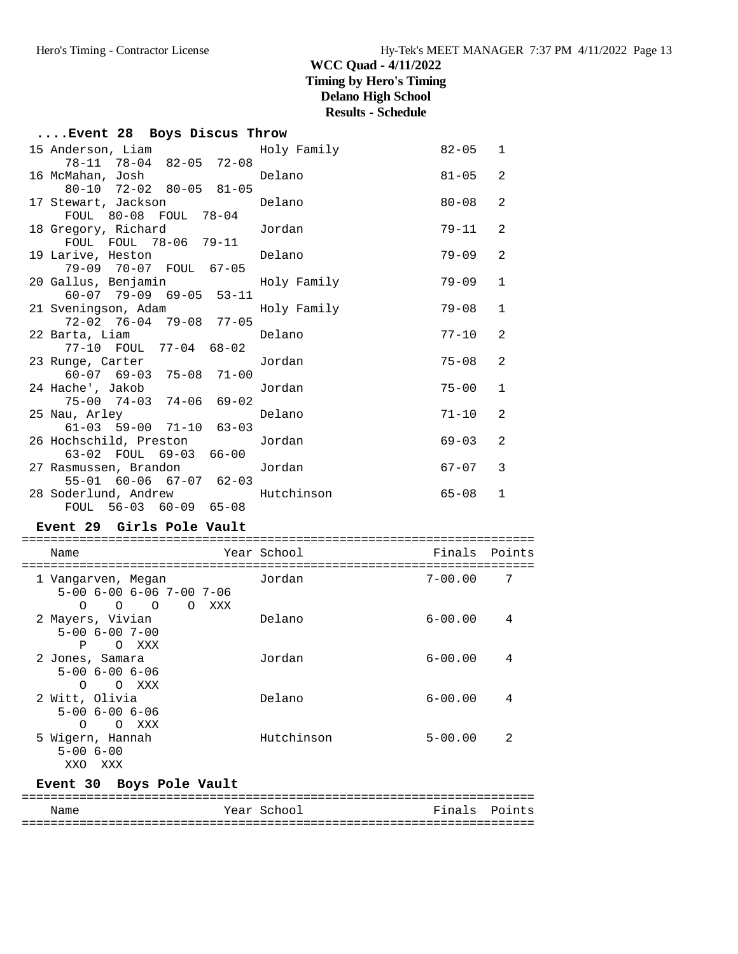# **....Event 28 Boys Discus Throw**

|  | 15 Anderson, Liam and Holy Family<br>78-11 78-04 82-05 72-08 |        | $82 - 05$ 1 |              |
|--|--------------------------------------------------------------|--------|-------------|--------------|
|  |                                                              |        | $81 - 05$ 2 |              |
|  | 80-10 72-02 80-05 81-05                                      |        | $80 - 08$   | 2            |
|  | 17 Stewart, Jackson belano<br>FOUL 80-08 FOUL 78-04          |        |             |              |
|  | 18 Gregory, Richard Gordan                                   |        | $79 - 11$   | 2            |
|  | FOUL FOUL 78-06 79-11<br>19 Larive, Heston <b>Delano</b>     |        | 79-09       | 2            |
|  | 79-09 70-07 FOUL 67-05                                       |        |             |              |
|  | 20 Gallus, Benjamin Moly Family                              |        | 79-09       | $\mathbf{1}$ |
|  | $60-07$ 79-09 69-05 53-11<br>21 Sveningson, Adam Moly Family |        | 79-08       | $\mathbf{1}$ |
|  | 72-02 76-04 79-08 77-05                                      |        |             |              |
|  | 22 Barta, Liam and Delano<br>77-10 FOUL 77-04 68-02          |        | $77 - 10$   | 2            |
|  | 23 Runge, Carter Garter Jordan                               |        | $75 - 08$   | 2            |
|  | 60-07 69-03 75-08 71-00                                      |        |             |              |
|  | 24 Hache', Jakob<br>75-00 74-03 74-06 69-02                  | Jordan | $75 - 00$   | $\mathbf{1}$ |
|  | 25 Nau, Arley Contract Delano                                |        | $71 - 10$   | 2            |
|  | 61-03 59-00 71-10 63-03                                      |        |             |              |
|  | 26 Hochschild, Preston and Jordan<br>63-02 FOUL 69-03 66-00  |        | $69 - 03$   | 2            |
|  | 27 Rasmussen, Brandon and Jordan                             |        | $67 - 07$ 3 |              |
|  | 55-01 60-06 67-07 62-03                                      |        |             |              |
|  | 28 Soderlund, Andrew Mutchinson<br>FOUL 56-03 60-09 65-08    |        | 65-08       | 1            |
|  |                                                              |        |             |              |

### **Event 29 Girls Pole Vault**

| Name                                                                                                                      | Year School | Finals      | Points |
|---------------------------------------------------------------------------------------------------------------------------|-------------|-------------|--------|
| 1 Vangarven, Megan<br>$5 - 00$ $6 - 00$ $6 - 06$ $7 - 00$ $7 - 06$<br>$\Omega$<br>$\Omega$<br>$\Omega$<br>XXX<br>$\Omega$ | Jordan      | $7 - 00.00$ | -7     |
| 2 Mayers, Vivian<br>$5 - 006 - 007 - 00$<br>P<br>O XXX                                                                    | Delano      | $6 - 00.00$ | 4      |
| 2 Jones, Samara<br>$5 - 00$ $6 - 00$ $6 - 06$<br>$\Omega$<br>O XXX                                                        | Jordan      | $6 - 00.00$ | 4      |
| 2 Witt, Olivia<br>$5 - 00$ $6 - 00$ $6 - 06$<br>$\Omega$<br>XXX<br>$\Omega$                                               | Delano      | $6 - 00.00$ | 4      |
| 5 Wigern, Hannah<br>$5 - 006 - 00$<br>XXO<br>XXX                                                                          | Hutchinson  | $5 - 00.00$ | 2      |

# **Event 30 Boys Pole Vault**

| Name | Year School | Finals Points |  |
|------|-------------|---------------|--|
|      |             |               |  |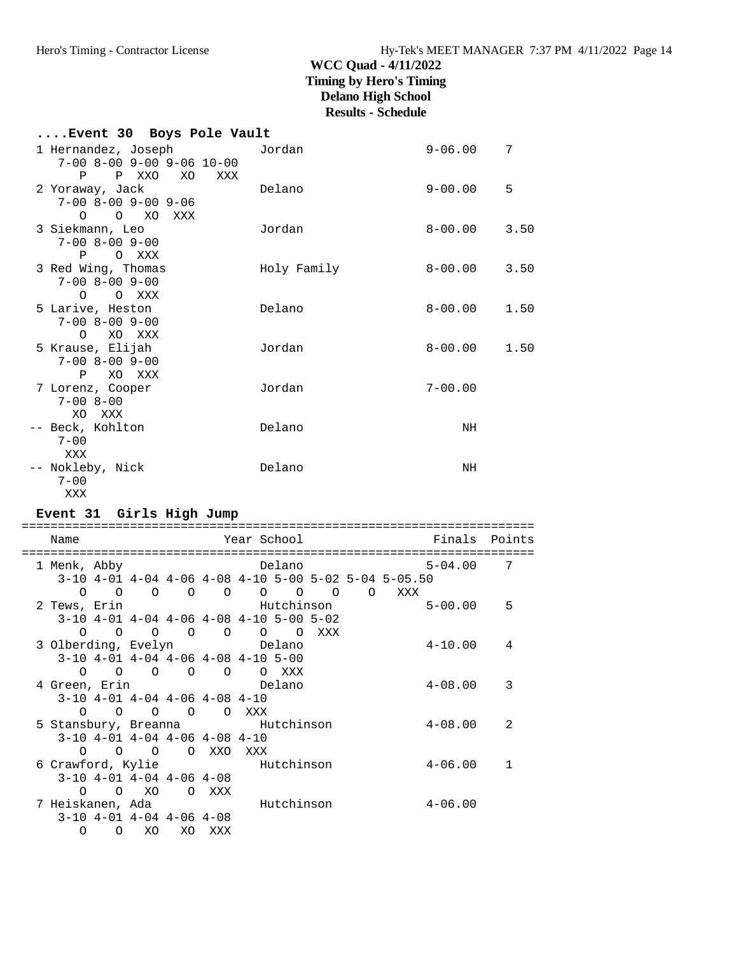| Event 30 Boys Pole Vault                                                                  |             |             |      |
|-------------------------------------------------------------------------------------------|-------------|-------------|------|
| 1 Hernandez, Joseph     Jordan<br>$7-00$ 8-00 9-00 9-06 10-00                             |             | $9 - 06.00$ | 7    |
| P P XXO XO<br>XXX<br>2 Yoraway, Jack<br>$7 - 00$ $8 - 00$ $9 - 00$ $9 - 06$<br>O O XO XXX | Delano      | $9 - 00.00$ | 5    |
| 3 Siekmann, Leo<br>$7 - 00$ $8 - 00$ $9 - 00$<br>P O XXX                                  | Jordan      | $8 - 00.00$ | 3.50 |
| 3 Red Wing, Thomas<br>$7 - 00$ $8 - 00$ $9 - 00$<br>O O XXX                               | Holy Family | $8-00.00$   | 3.50 |
| 5 Larive, Heston<br>$7 - 00$ $8 - 00$ $9 - 00$<br>O XO XXX                                | Delano      | $8 - 00.00$ | 1.50 |
| 5 Krause, Elijah<br>$7 - 00$ $8 - 00$ $9 - 00$<br>P XO XXX                                | Jordan      | $8 - 00.00$ | 1.50 |
| 7 Lorenz, Cooper<br>$7 - 008 - 00$<br>XO XXX                                              | Jordan      | $7 - 00.00$ |      |
| -- Beck, Kohlton<br>$7 - 00$<br>XXX                                                       | Delano      | NH          |      |
| -- Nokleby, Nick<br>$7 - 00$<br>XXX                                                       | Delano      | NH          |      |

### **Event 31 Girls High Jump**

| Name                            |                |                                             |                |                     | Year School |                 |          |          |                                                        | Finals      | Points         |
|---------------------------------|----------------|---------------------------------------------|----------------|---------------------|-------------|-----------------|----------|----------|--------------------------------------------------------|-------------|----------------|
| 1 Menk, Abby                    |                |                                             |                |                     |             | Delano          |          |          |                                                        | $5 - 04.00$ | 7              |
|                                 |                |                                             |                |                     |             |                 |          |          | $3-10$ 4-01 4-04 4-06 4-08 4-10 5-00 5-02 5-04 5-05.50 |             |                |
| $\Omega$                        | $\circ$        | $\Omega$                                    | $\Omega$       | $\Omega$            |             | $\circ$ $\circ$ | $\Omega$ | $\Omega$ | XXX                                                    |             |                |
| 2 Tews, Erin                    |                |                                             |                | Hutchinson          |             |                 |          |          |                                                        | $5 - 00.00$ | 5              |
|                                 |                | $3-10$ 4-01 4-04 4-06 4-08 4-10 5-00 5-02   |                |                     |             |                 |          |          |                                                        |             |                |
| $\Omega$                        | $\Omega$       | $\Omega$                                    | $\circ$        | $\circ$             | $\circ$     | $\Omega$        | XXX      |          |                                                        |             |                |
| 3 Olberding, Evelyn and Delano  |                |                                             |                |                     |             |                 |          |          |                                                        | $4 - 10.00$ | 4              |
|                                 |                | $3-10$ 4-01 4-04 4-06 4-08 4-10 5-00        |                |                     |             |                 |          |          |                                                        |             |                |
| $\Omega$                        | $\overline{O}$ | $\circ$                                     | $\overline{O}$ | $\overline{O}$      |             | O XXX           |          |          |                                                        |             |                |
| 4 Green, Erin                   |                |                                             |                |                     |             | Delano          |          |          |                                                        | $4 - 08.00$ | 3              |
|                                 |                | $3-10$ 4-01 4-04 4-06 4-08 4-10             |                |                     |             |                 |          |          |                                                        |             |                |
| $\Omega$                        | $\Omega$       | $\Omega$                                    | $\circ$        |                     | O XXX       |                 |          |          |                                                        |             |                |
| 5 Stansbury, Breanna Mutchinson |                |                                             |                |                     |             |                 |          |          |                                                        | $4 - 08.00$ | $\overline{2}$ |
| $\Omega$                        | $\circ$        | $3-10$ 4-01 4-04 4-06 4-08 4-10<br>$\Omega$ |                |                     |             |                 |          |          |                                                        |             |                |
|                                 |                |                                             |                | O XXO<br>Hutchinson | XXX         |                 |          |          |                                                        | $4 - 06.00$ |                |
| 6 Crawford, Kylie               |                | $3-10$ 4-01 4-04 4-06 4-08                  |                |                     |             |                 |          |          |                                                        |             |                |
| $\Omega$                        | $\Omega$       | XO                                          |                | O XXX               |             |                 |          |          |                                                        |             |                |
| 7 Heiskanen, Ada                |                |                                             |                |                     |             | Hutchinson      |          |          |                                                        | 4-06.00     |                |
|                                 |                | $3-10$ 4-01 4-04 4-06 4-08                  |                |                     |             |                 |          |          |                                                        |             |                |
| $\Omega$                        | O              | XO                                          | XO             | XXX                 |             |                 |          |          |                                                        |             |                |
|                                 |                |                                             |                |                     |             |                 |          |          |                                                        |             |                |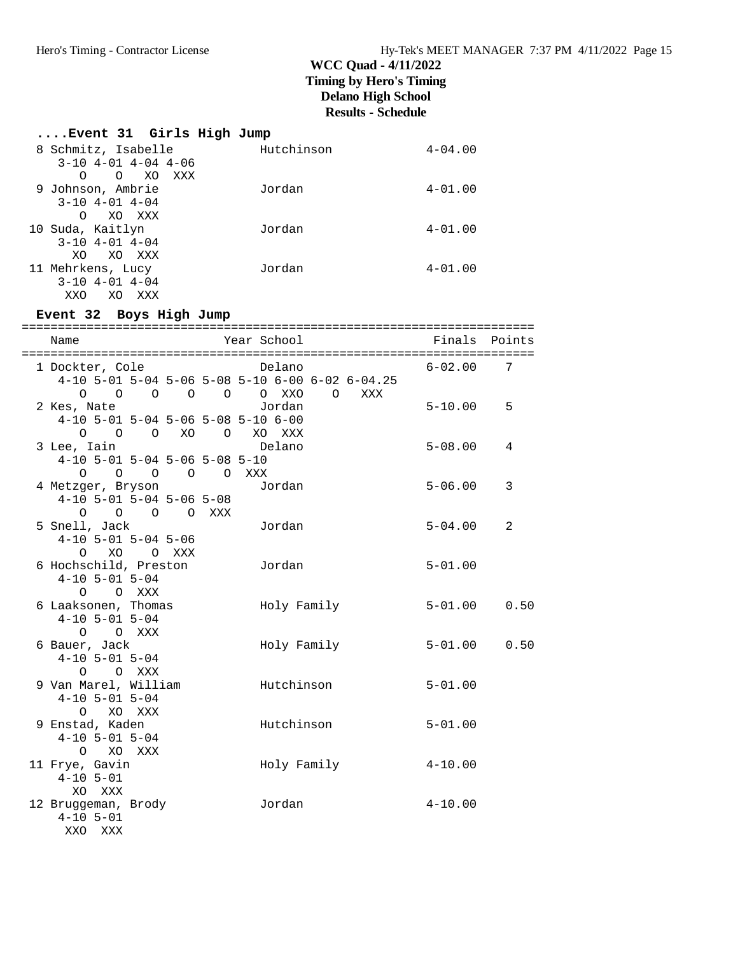| Event 31 Girls High Jump    |            |             |
|-----------------------------|------------|-------------|
| 8 Schmitz, Isabelle         | Hutchinson | $4 - 04.00$ |
| $3-10$ $4-01$ $4-04$ $4-06$ |            |             |
| O XO XXX<br>∩               |            |             |
| 9 Johnson, Ambrie           | Jordan     | $4 - 01.00$ |
| $3 - 10$ $4 - 01$ $4 - 04$  |            |             |
| XO XXX<br>$\circ$           |            |             |
| 10 Suda, Kaitlyn            | Jordan     | $4 - 01.00$ |
| $3 - 10$ $4 - 01$ $4 - 04$  |            |             |
| XO XO XXX                   |            |             |
| 11 Mehrkens, Lucy           | Jordan     | $4 - 01.00$ |
| $3 - 10$ $4 - 01$ $4 - 04$  |            |             |
| XXO<br>XO.<br>XXX           |            |             |

# **Event 32 Boys High Jump**

| Name                                                          |                                                  | Year School                                               | Finals Points    |
|---------------------------------------------------------------|--------------------------------------------------|-----------------------------------------------------------|------------------|
|                                                               | 1 Dockter, Cole                                  | Delano<br>4-10 5-01 5-04 5-06 5-08 5-10 6-00 6-02 6-04.25 | $6 - 02.00$<br>7 |
| 2 Kes, Nate                                                   | $4-10$ 5-01 5-04 5-06 5-08 5-10 6-00             | XXX<br>Jordan                                             | $5 - 10.00$<br>5 |
| 3 Lee, Iain                                                   | 0 0 0 XO 0 XO XXX                                | Delano                                                    | $5 - 08.00$<br>4 |
| 4 Metzger, Bryson                                             | $4-10$ 5-01 5-04 5-06 5-08 5-10<br>0 0 0 0 0 XXX | Jordan                                                    | $5 - 06.00$<br>3 |
|                                                               | $4-10$ 5-01 5-04 5-06 5-08<br>0 0 0 0 XXX        |                                                           |                  |
| 5 Snell, Jack                                                 | $4-10$ 5-01 5-04 5-06<br>O XO O XXX              | Jordan                                                    | $5 - 04.00$<br>2 |
| 6 Hochschild, Preston<br>$4-10$ 5-01 5-04                     | O O XXX                                          | Jordan                                                    | $5 - 01.00$      |
| $4 - 10$ 5 - 01 5 - 04                                        | 6 Laaksonen, Thomas<br>O O XXX                   | Holy Family                                               | $5 - 01.00$ 0.50 |
| 6 Bauer, Jack<br>$4-10$ 5-01 5-04                             | O O XXX                                          | Holy Family                                               | $5 - 01.00$ 0.50 |
| 9 Van Marel, William<br>$4-10$ 5-01 5-04                      |                                                  | Hutchinson                                                | $5 - 01.00$      |
| 9 Enstad, Kaden<br>$4-10$ 5-01 5-04                           | O XO XXX                                         | Hutchinson                                                | $5 - 01.00$      |
| 11 Frye, Gavin<br>$4 - 10$ 5-01                               | O XO XXX                                         | Holy Family                                               | $4 - 10.00$      |
| XO XXX<br>12 Bruggeman, Brody<br>$4 - 10$ $5 - 01$<br>XXO XXX |                                                  | Jordan                                                    | $4 - 10.00$      |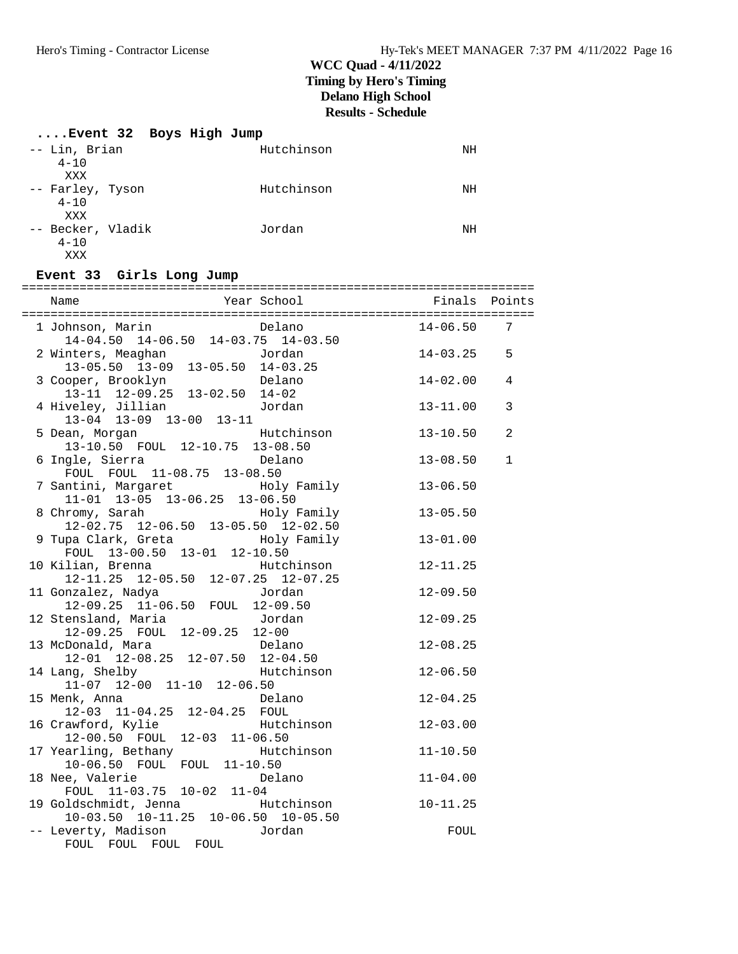# **....Event 32 Boys High Jump**

| -- Lin, Brian<br>$4 - 10$            | Hutchinson | NH |
|--------------------------------------|------------|----|
| XXX                                  |            |    |
| -- Farley, Tyson<br>$4 - 10$<br>XXX  | Hutchinson | ΝH |
| -- Becker, Vladik<br>$4 - 10$<br>XXX | Jordan     | NH |

### **Event 33 Girls Long Jump**

| 1 Johnson, Marin<br>14-04.50 14-06.50 14-03.75 14-03.50<br>2 Winters Measchan<br>2 Winters Measchan   | $14 - 06.50$   | 7            |
|-------------------------------------------------------------------------------------------------------|----------------|--------------|
|                                                                                                       |                |              |
| 2 Winters, Meaghan<br>Jordan                                                                          | $14 - 03.25$ 5 |              |
|                                                                                                       |                |              |
| nters, Meaghan<br>13-05.50 13-09 13-05.50 14-03.25<br>Delano                                          | $14 - 02.00$   | 4            |
| 3 Cooper, Brooklyn Delano<br>13-11 12-09.25 13-02.50 14-02                                            |                |              |
| 4 Hiveley, Jillian       Jordan                                                                       | 13-11.00       | 3            |
| $13-04$ 13-09 13-00 13-11                                                                             |                |              |
| Hutchinson<br>5 Dean, Morgan                                                                          | $13 - 10.50$   | 2            |
| 13-10.50 FOUL 12-10.75 13-08.50                                                                       |                |              |
| 6 Ingle, Sierra<br>Delano                                                                             | 13-08.50       | $\mathbf{1}$ |
| FOUL FOUL 11-08.75 13-08.50                                                                           |                |              |
| 7 Santini, Margaret                   Holy Family                                                     | $13 - 06.50$   |              |
| $11-01$ $13-05$ $13-06.25$ $13-06.50$                                                                 |                |              |
|                                                                                                       | $13 - 05.50$   |              |
|                                                                                                       |                |              |
| 8 Chromy, Sarah Holy Family<br>12-02.75 12-06.50 13-05.50 12-02.50<br>9 Tupa Clark, Greta Holy Family | $13 - 01.00$   |              |
| FOUL 13-00.50 13-01 12-10.50                                                                          |                |              |
| Hutchinson<br>10 Kilian, Brenna                                                                       | $12 - 11.25$   |              |
|                                                                                                       |                |              |
| 11 Gonzalez, Nadya                                                                                    | $12 - 09.50$   |              |
| $12-09.25$ $11-06.50$ FOUL $12-09.50$                                                                 |                |              |
| 12 Stensland, Maria <b>Editor</b> Jordan                                                              | $12 - 09.25$   |              |
| 12-09.25 FOUL 12-09.25 12-00                                                                          |                |              |
| 13 McDonald, Mara <b>belano</b>                                                                       | $12 - 08.25$   |              |
|                                                                                                       |                |              |
| Delano<br>12-01 12-08.25 12-07.50 12-04.50<br>mg, Shelby<br>Hutchinson<br>14 Lang, Shelby             | $12 - 06.50$   |              |
| 11-07 12-00 11-10 12-06.50                                                                            |                |              |
| 15 Menk, Anna<br>Delano                                                                               | $12 - 04.25$   |              |
| 12-03 11-04.25 12-04.25 FOUL                                                                          |                |              |
| 16 Crawford, Kylie Mutchinson                                                                         | $12 - 03.00$   |              |
| 12-00.50 FOUL 12-03 11-06.50                                                                          |                |              |
| 17 Yearling, Bethany Mutchinson                                                                       | $11 - 10.50$   |              |
| 10-06.50 FOUL FOUL 11-10.50                                                                           |                |              |
| 18 Nee, Valerie<br>Delano                                                                             | $11 - 04.00$   |              |
| FOUL 11-03.75 10-02 11-04                                                                             |                |              |
| 19 Goldschmidt, Jenna Futchinson                                                                      | $10 - 11.25$   |              |
| 10-03.50 10-11.25 10-06.50 10-05.50                                                                   |                |              |
| -- Leverty, Madison and Jordan                                                                        | FOUL           |              |
| FOUL FOUL FOUL FOUL                                                                                   |                |              |
|                                                                                                       |                |              |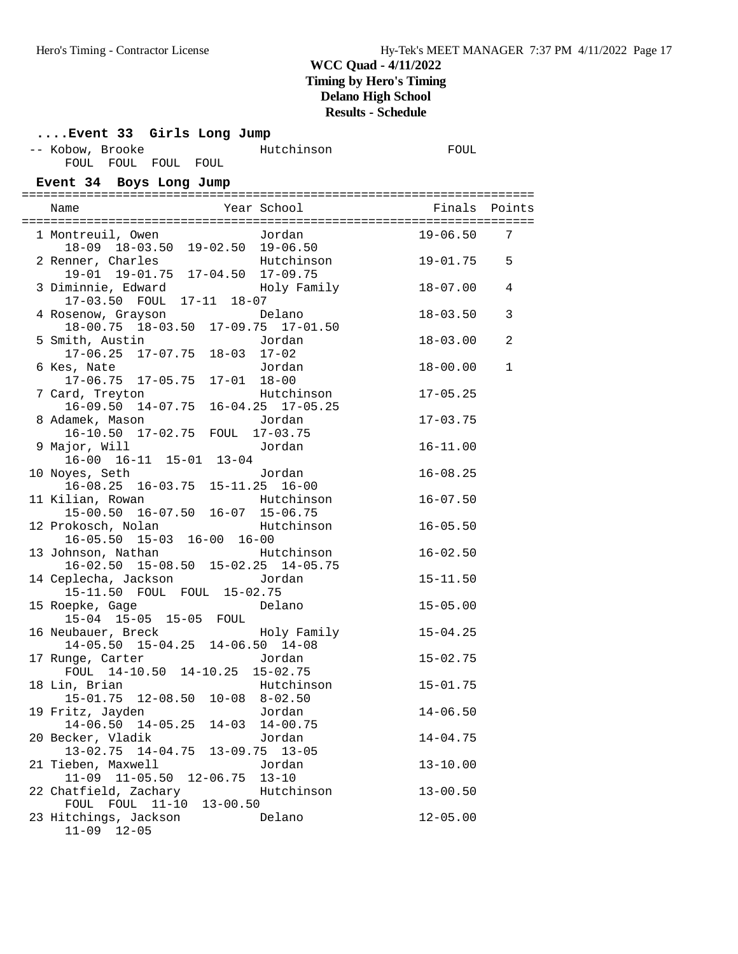# **....Event 33 Girls Long Jump**

| -- Kobow, Brooke |                     |  | Hutchinson |  |  |
|------------------|---------------------|--|------------|--|--|
|                  | FOUL FOUL FOUL FOUL |  |            |  |  |

**Event 34 Boys Long Jump**

| 1 Montreuil, Owen Jordan<br>18-09 18-03.50 19-02.50 19-06.50                 |                     |             | $19 - 06.50$ | 7              |
|------------------------------------------------------------------------------|---------------------|-------------|--------------|----------------|
| 2 Renner, Charles<br>19-01 19-01.75 17-04.50 17-09.75                        |                     | Hutchinson  | 19-01.75     | 5              |
| 3 Diminnie, Edward<br>17-03.50 FOUL 17-11 18-07                              |                     | Holy Family | 18-07.00     | 4              |
| 4 Rosenow, Grayson<br>18-00.75 18-03.50 17-09.75 17-01.50                    |                     | Delano      | $18 - 03.50$ | 3              |
| 5 Smith, Austin <b>1988</b> Jordan<br>17-06.25 17-07.75 18-03 17-02          |                     |             | $18 - 03.00$ | $\overline{a}$ |
| 6 Kes, Nate<br>17-06.75 17-05.75                                             | $17 - 01$ $18 - 00$ | Jordan      | $18 - 00.00$ | $\mathbf{1}$   |
| 7 Card, Treyton<br>$16-09.50$ $14-07.75$ $16-04.25$ $17-05.25$               |                     | Hutchinson  | $17 - 05.25$ |                |
| 8 Adamek, Mason<br>16-10.50 17-02.75 FOUL 17-03.75                           |                     | Jordan      | $17 - 03.75$ |                |
| 9 Major, Will<br>$16-00$ $16-11$ $15-01$ $13-04$                             |                     | Jordan      | $16 - 11.00$ |                |
| 10 Noyes, Seth<br>$16-08.25$ $16-03.75$ $15-11.25$ $16-00$                   |                     | Jordan      | $16 - 08.25$ |                |
| 11 Kilian, Rowan<br>15-00.50 16-07.50 16-07 15-06.75                         |                     | Hutchinson  | $16 - 07.50$ |                |
| 12 Prokosch, Nolan<br>16-05.50 15-03 16-00 16-00                             |                     | Hutchinson  | $16 - 05.50$ |                |
| 13 Johnson, Nathan Mutchinson<br>$16-02.50$ $15-08.50$ $15-02.25$ $14-05.75$ |                     |             | $16 - 02.50$ |                |
|                                                                              |                     |             | $15 - 11.50$ |                |
| 15 Roepke, Gage<br>15-04 15-05 15-05 FOUL                                    |                     | Delano      | $15 - 05.00$ |                |
| 16 Neubauer, Breck<br>$14-05.50$ $15-04.25$ $14-06.50$ $14-08$               |                     | Holy Family | $15 - 04.25$ |                |
| 17 Runge, Carter<br>FOUL 14-10.50 14-10.25 15-02.75                          |                     | Jordan      | $15 - 02.75$ |                |
| 18 Lin, Brian<br>15-01.75 12-08.50 10-08 8-02.50                             |                     | Hutchinson  | $15 - 01.75$ |                |
| 19 Fritz, Jayden Martin Jordan<br>14-06.50 14-05.25 14-03 14-00.75           |                     |             | $14 - 06.50$ |                |
| 20 Becker, Vladik<br>13-02.75 14-04.75 13-09.75 13-05                        |                     | Jordan      | $14 - 04.75$ |                |
| 21 Tieben, Maxwell<br>11-09 11-05.50 12-06.75 13-10                          |                     | Jordan      | $13 - 10.00$ |                |
| 22 Chatfield, Zachary<br>FOUL FOUL 11-10 13-00.50                            |                     | Hutchinson  | $13 - 00.50$ |                |
| 23 Hitchings, Jackson<br>$11-09$ $12-05$                                     |                     | Delano      | $12 - 05.00$ |                |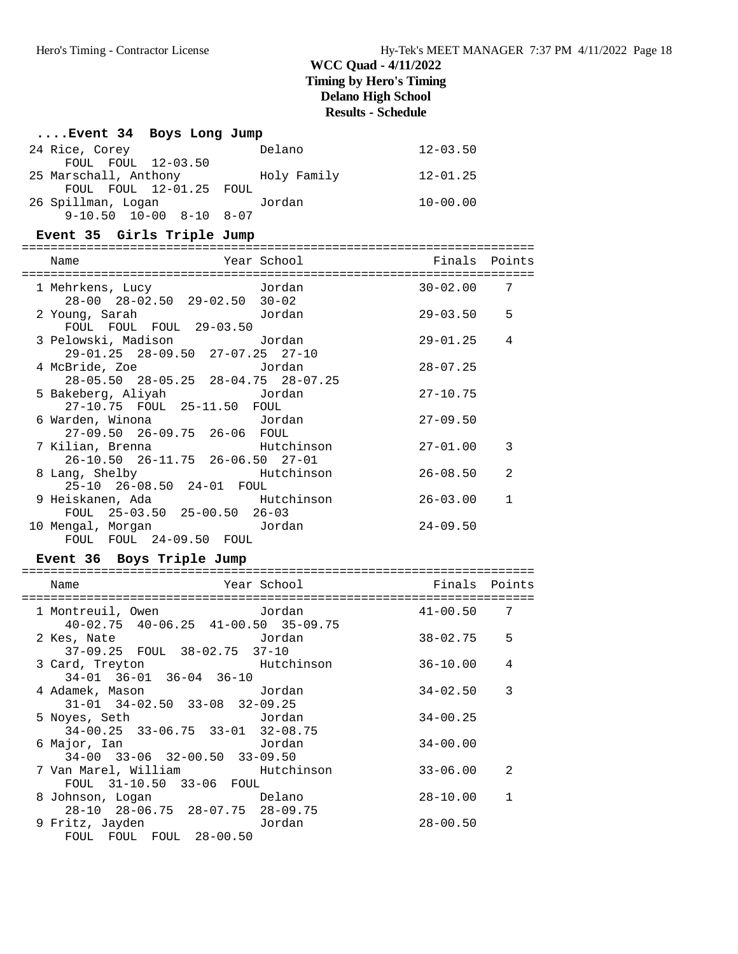| Event 34 Boys Long Jump                                                |             |               |                |
|------------------------------------------------------------------------|-------------|---------------|----------------|
| 24 Rice, Corey                                                         | Delano      | $12 - 03.50$  |                |
| FOUL FOUL 12-03.50<br>25 Marschall, Anthony<br>FOUL FOUL 12-01.25 FOUL | Holy Family | $12 - 01.25$  |                |
| 26 Spillman, Logan<br>$9-10.50$ $10-00$ $8-10$ $8-07$                  | Jordan      | $10 - 00.00$  |                |
| Event 35 Girls Triple Jump                                             |             |               |                |
| Name                                                                   | Year School | Finals Points |                |
|                                                                        |             |               | 7              |
| 1 Mehrkens, Lucy<br>28-00 28-02.50 29-02.50 30-02                      | Jordan      | $30 - 02.00$  |                |
| 2 Young, Sarah<br>FOUL FOUL FOUL 29-03.50                              | Jordan      | 29-03.50      | 5              |
| 3 Pelowski, Madison<br>29-01.25 28-09.50 27-07.25 27-10                | Jordan      | $29 - 01.25$  | 4              |
| 4 McBride, Zoe<br>28-05.50 28-05.25 28-04.75 28-07.25                  | Jordan      | $28 - 07.25$  |                |
| 5 Bakeberg, Aliyah<br>27-10.75 FOUL 25-11.50 FOUL                      | Jordan      | $27 - 10.75$  |                |
| 6 Warden, Winona<br>27-09.50 26-09.75 26-06 FOUL                       | Jordan      | $27 - 09.50$  |                |
| 7 Kilian, Brenna<br>26-10.50 26-11.75 26-06.50 27-01                   | Hutchinson  | $27 - 01.00$  | 3              |
| 8 Lang, Shelby<br>25-10 26-08.50 24-01 FOUL                            | Hutchinson  | $26 - 08.50$  | 2              |
| 9 Heiskanen, Ada<br>FOUL 25-03.50 25-00.50 26-03                       | Hutchinson  | $26 - 03.00$  | $\mathbf{1}$   |
| 10 Mengal, Morgan and Jordan<br>FOUL FOUL 24-09.50 FOUL                |             | $24 - 09.50$  |                |
| Event 36 Boys Triple Jump                                              |             |               |                |
| Name                                                                   | Year School | Finals        | Points         |
| 1 Montreuil, Owen<br>$40-02.75$ $40-06.25$ $41-00.50$ $35-09.75$       | Jordan      | $41 - 00.50$  | 7              |
| 2 Kes, Nate<br>37-09.25 FOUL 38-02.75 37-10                            | Jordan      | 38-02.75      | 5              |
| 3 Card, Treyton<br>$34-01$ $36-01$ $36-04$ $36-10$                     | Hutchinson  | $36 - 10.00$  | $\overline{4}$ |
| 4 Adamek, Mason<br>$31-01$ $34-02.50$ $33-08$ $32-09.25$               | Jordan      | $34 - 02.50$  | 3              |
| 5 Noyes, Seth<br>34-00.25 33-06.75 33-01 32-08.75                      | Jordan      | $34 - 00.25$  |                |
| 6 Major, Ian<br>34-00 33-06 32-00.50 33-09.50                          | Jordan      | $34 - 00.00$  |                |
| 7 Van Marel, William<br>FOUL 31-10.50 33-06 FOUL                       | Hutchinson  | $33 - 06.00$  | 2              |
| 8 Johnson, Logan<br>28-10 28-06.75 28-07.75 28-09.75                   | Delano      | $28 - 10.00$  | $\mathbf{1}$   |
| 9 Fritz, Jayden<br>FOUL FOUL FOUL 28-00.50                             | Jordan      | $28 - 00.50$  |                |